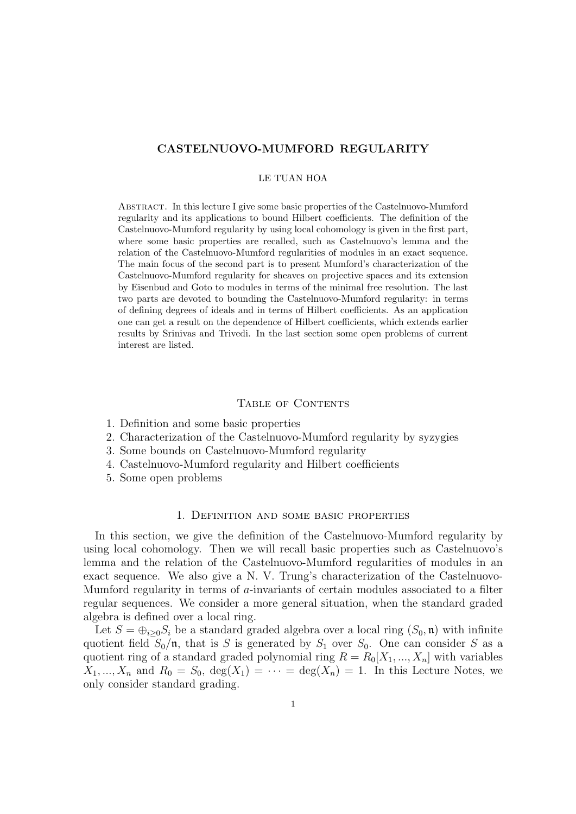## CASTELNUOVO-MUMFORD REGULARITY

### LE TUAN HOA

Abstract. In this lecture I give some basic properties of the Castelnuovo-Mumford regularity and its applications to bound Hilbert coefficients. The definition of the Castelnuovo-Mumford regularity by using local cohomology is given in the first part, where some basic properties are recalled, such as Castelnuovo's lemma and the relation of the Castelnuovo-Mumford regularities of modules in an exact sequence. The main focus of the second part is to present Mumford's characterization of the Castelnuovo-Mumford regularity for sheaves on projective spaces and its extension by Eisenbud and Goto to modules in terms of the minimal free resolution. The last two parts are devoted to bounding the Castelnuovo-Mumford regularity: in terms of defining degrees of ideals and in terms of Hilbert coefficients. As an application one can get a result on the dependence of Hilbert coefficients, which extends earlier results by Srinivas and Trivedi. In the last section some open problems of current interest are listed.

#### TABLE OF CONTENTS

- 1. Definition and some basic properties
- 2. Characterization of the Castelnuovo-Mumford regularity by syzygies
- 3. Some bounds on Castelnuovo-Mumford regularity
- 4. Castelnuovo-Mumford regularity and Hilbert coefficients
- 5. Some open problems

### 1. Definition and some basic properties

In this section, we give the definition of the Castelnuovo-Mumford regularity by using local cohomology. Then we will recall basic properties such as Castelnuovo's lemma and the relation of the Castelnuovo-Mumford regularities of modules in an exact sequence. We also give a N. V. Trung's characterization of the Castelnuovo-Mumford regularity in terms of a-invariants of certain modules associated to a filter regular sequences. We consider a more general situation, when the standard graded algebra is defined over a local ring.

Let  $S = \bigoplus_{i \geq 0} S_i$  be a standard graded algebra over a local ring  $(S_0, \mathfrak{n})$  with infinite quotient field  $S_0/\mathfrak{n}$ , that is S is generated by  $S_1$  over  $S_0$ . One can consider S as a quotient ring of a standard graded polynomial ring  $R = R_0[X_1, ..., X_n]$  with variables  $X_1, ..., X_n$  and  $R_0 = S_0$ ,  $deg(X_1) = \cdots = deg(X_n) = 1$ . In this Lecture Notes, we only consider standard grading.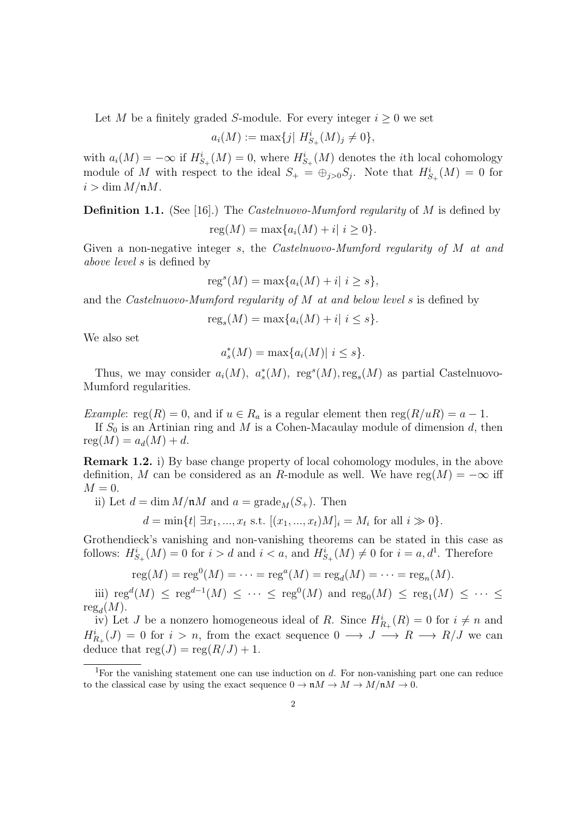Let M be a finitely graded S-module. For every integer  $i \geq 0$  we set

$$
a_i(M) := \max\{j \mid H^i_{S_+}(M)_j \neq 0\},\
$$

with  $a_i(M) = -\infty$  if  $H^i_{S_+}(M) = 0$ , where  $H^i_{S_+}(M)$  denotes the *i*th local cohomology module of M with respect to the ideal  $S_+ = \bigoplus_{j>0} S_j$ . Note that  $H_{S_+}^i(M) = 0$  for  $i > \dim M / \mathfrak{n} M$ .

**Definition 1.1.** (See [16].) The *Castelnuovo-Mumford regularity* of M is defined by  $reg(M) = max{a_i(M) + i | i \geq 0}.$ 

Given a non-negative integer s, the Castelnuovo-Mumford regularity of M at and above level s is defined by

$$
regs(M) = max{ai(M) + i | i \ge s},
$$

and the Castelnuovo-Mumford regularity of M at and below level s is defined by

 $\text{reg}_s(M) = \max\{a_i(M) + i | i \leq s\}.$ 

We also set

$$
a_s^*(M) = \max\{a_i(M)| \ i \le s\}.
$$

Thus, we may consider  $a_i(M)$ ,  $a_s^*(M)$ , regs $(M)$ , reg<sub>s</sub> $(M)$  as partial Castelnuovo-Mumford regularities.

Example: reg(R) = 0, and if  $u \in R_a$  is a regular element then reg( $R/uR$ ) =  $a-1$ .

If  $S_0$  is an Artinian ring and M is a Cohen-Macaulay module of dimension d, then  $reg(M) = a_d(M) + d$ .

Remark 1.2. i) By base change property of local cohomology modules, in the above definition, M can be considered as an R-module as well. We have  $reg(M) = -\infty$  iff  $M = 0.$ 

ii) Let  $d = \dim M/\mathfrak{n}M$  and  $a = \text{grade}_M(S_+)$ . Then

$$
d = \min\{t | \exists x_1, ..., x_t \text{ s.t. } [(x_1, ..., x_t)M]_i = M_i \text{ for all } i \gg 0\}.
$$

Grothendieck's vanishing and non-vanishing theorems can be stated in this case as follows:  $H^i_{S_+}(M) = 0$  for  $i > d$  and  $i < a$ , and  $H^i_{S_+}(M) \neq 0$  for  $i = a, d^1$ . Therefore

$$
reg(M) = reg0(M) = \dots = rega(M) = rega(M) = \dots = regn(M).
$$

iii)  $reg<sup>d</sup>(M)$  ≤  $reg<sup>d-1</sup>(M)$  ≤ ··· ≤  $reg<sup>0</sup>(M)$  and  $reg<sub>0</sub>(M)$  ≤  $reg<sub>1</sub>(M)$  ≤ ··· ≤  ${\rm reg}_d(M)$ .

iv) Let J be a nonzero homogeneous ideal of R. Since  $H_{R_+}^i(R) = 0$  for  $i \neq n$  and  $H_{R_+}^i(J) = 0$  for  $i > n$ , from the exact sequence  $0 \longrightarrow J \longrightarrow R \longrightarrow R/J$  we can deduce that  $reg(J) = reg(R/J) + 1$ .

<sup>&</sup>lt;sup>1</sup>For the vanishing statement one can use induction on  $d$ . For non-vanishing part one can reduce to the classical case by using the exact sequence  $0 \to \mathfrak{n}M \to M \to M/\mathfrak{n}M \to 0$ .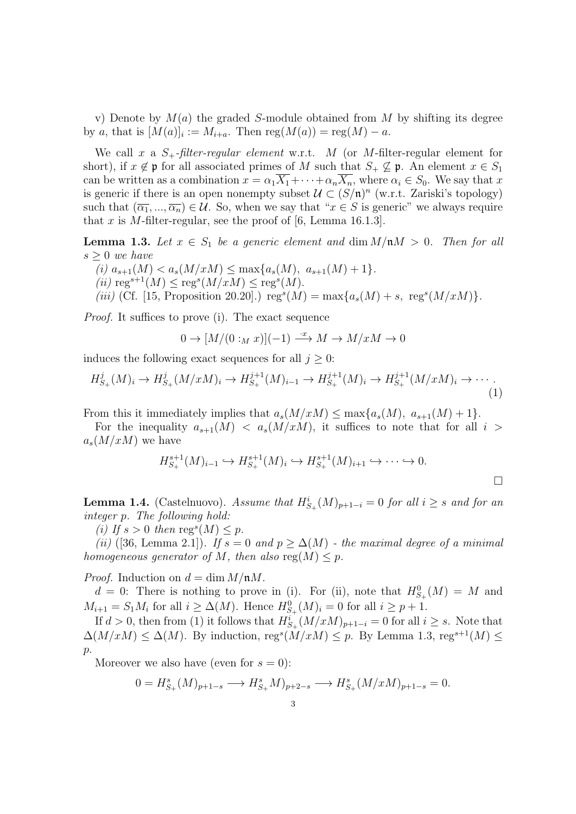v) Denote by  $M(a)$  the graded S-module obtained from M by shifting its degree by a, that is  $[M(a)]_i := M_{i+a}$ . Then  $reg(M(a)) = reg(M) - a$ .

We call x a  $S_+$ -filter-regular element w.r.t. M (or M-filter-regular element for short), if  $x \notin \mathfrak{p}$  for all associated primes of M such that  $S_+ \not\subseteq \mathfrak{p}$ . An element  $x \in S_1$ can be written as a combination  $x = \alpha_1 \overline{X_1} + \cdots + \alpha_n \overline{X_n}$ , where  $\alpha_i \in S_0$ . We say that x is generic if there is an open nonempty subset  $\mathcal{U} \subset (S/\mathfrak{n})^n$  (w.r.t. Zariski's topology) such that  $(\overline{\alpha_1}, ..., \overline{\alpha_n}) \in \mathcal{U}$ . So, when we say that " $x \in S$  is generic" we always require that x is M-filter-regular, see the proof of  $[6, \text{ Lemma } 16.1.3]$ .

**Lemma 1.3.** Let  $x \in S_1$  be a generic element and dim  $M/\mathfrak{n}M > 0$ . Then for all  $s \geq 0$  we have

(i)  $a_{s+1}(M) < a_s(M/xM) \leq \max\{a_s(M), a_{s+1}(M) + 1\}.$ (ii)  $\text{reg}^{s+1}(M) \leq \text{reg}^s(M/xM) \leq \text{reg}^s(M).$ 

(iii) (Cf. [15, Proposition 20.20].)  $reg^{s}(M) = max{a_s(M) + s, reg^{s}(M/xM)}$ .

Proof. It suffices to prove (i). The exact sequence

$$
0 \to [M/(0:_{M} x)](-1) \xrightarrow{\cdot x} M \to M/xM \to 0
$$

induces the following exact sequences for all  $j \geq 0$ :

$$
H_{S_+}^j(M)_i \to H_{S_+}^j(M/xM)_i \to H_{S_+}^{j+1}(M)_{i-1} \to H_{S_+}^{j+1}(M)_i \to H_{S_+}^{j+1}(M/xM)_i \to \cdots
$$
\n(1)

From this it immediately implies that  $a_s(M/xM) \leq \max\{a_s(M), a_{s+1}(M) + 1\}.$ 

For the inequality  $a_{s+1}(M) < a_s(M/xM)$ , it suffices to note that for all  $i >$  $a_s(M/xM)$  we have

$$
H^{s+1}_{S_+}(M)_{i-1} \hookrightarrow H^{s+1}_{S_+}(M)_i \hookrightarrow H^{s+1}_{S_+}(M)_{i+1} \hookrightarrow \cdots \hookrightarrow 0.
$$

**Lemma 1.4.** (Castelnuovo). Assume that  $H_{S_+}^i(M)_{p+1-i} = 0$  for all  $i \geq s$  and for an integer p. The following hold:

(i) If  $s > 0$  then  $\text{reg}^s(M) \leq p$ .

(ii) ([36, Lemma 2.1]). If  $s = 0$  and  $p \geq \Delta(M)$  - the maximal degree of a minimal homogeneous generator of M, then also  $reg(M) \leq p$ .

*Proof.* Induction on  $d = \dim M / \mathfrak{n}M$ .

 $d = 0$ : There is nothing to prove in (i). For (ii), note that  $H^0_{S_{+}}(M) = M$  and  $M_{i+1} = S_1 M_i$  for all  $i \geq \Delta(M)$ . Hence  $H^0_{S_{+}}(M)_i = 0$  for all  $i \geq p+1$ .

If  $d > 0$ , then from (1) it follows that  $H_{S_+}^i(M/xM)_{p+1-i} = 0$  for all  $i \geq s$ . Note that  $\Delta(M/xM) \leq \Delta(M)$ . By induction, reg<sup>s</sup> $(M/xM) \leq p$ . By Lemma 1.3, reg<sup>s+1</sup> $(M) \leq$  $p$ .

Moreover we also have (even for  $s = 0$ ):

$$
0 = H_{S_+}^s(M)_{p+1-s} \longrightarrow H_{S_+}^s(M)_{p+2-s} \longrightarrow H_{S_+}^s(M/xM)_{p+1-s} = 0.
$$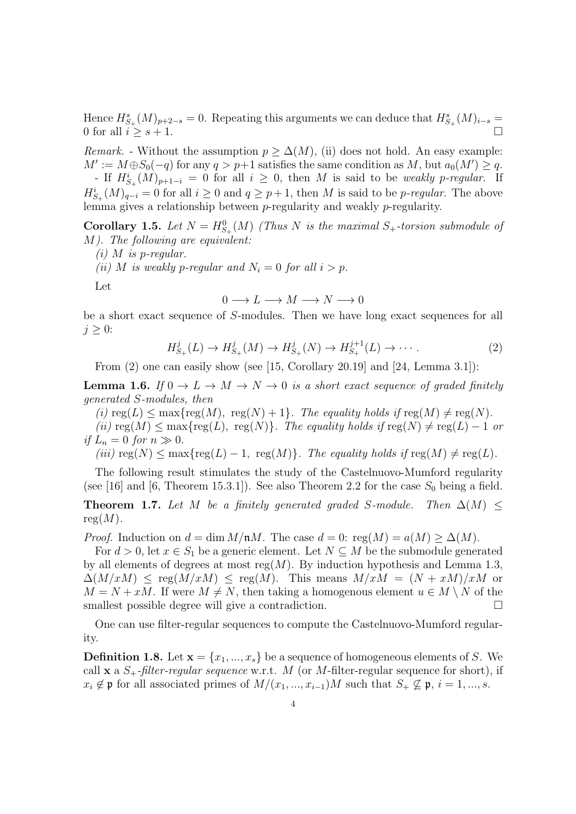Hence  $H_{S_+}^s(M)_{p+2-s}=0$ . Repeating this arguments we can deduce that  $H_{S_+}^s(M)_{i-s}=0$ 0 for all  $i \geq s+1$ .

*Remark.* - Without the assumption  $p \geq \Delta(M)$ , (ii) does not hold. An easy example:  $M' := M \oplus S_0(-q)$  for any  $q > p+1$  satisfies the same condition as M, but  $a_0(M') \geq q$ . - If  $H^i_{S_+}(M)_{p+1-i} = 0$  for all  $i \geq 0$ , then M is said to be weakly p-regular. If  $H_{S_+}^i(M)_{q-i} = 0$  for all  $i \geq 0$  and  $q \geq p+1$ , then M is said to be *p-regular*. The above lemma gives a relationship between p-regularity and weakly p-regularity.

**Corollary 1.5.** Let  $N = H_{S_+}^0(M)$  (Thus N is the maximal  $S_+$ -torsion submodule of M). The following are equivalent:

 $(i)$  M is p-regular.

(ii) M is weakly p-regular and  $N_i = 0$  for all  $i > p$ .

Let

$$
0\longrightarrow L\longrightarrow M\longrightarrow N\longrightarrow 0
$$

be a short exact sequence of S-modules. Then we have long exact sequences for all  $j \geq 0$ :

$$
H_{S_+}^j(L) \to H_{S_+}^j(M) \to H_{S_+}^j(N) \to H_{S_+}^{j+1}(L) \to \cdots
$$
 (2)

From  $(2)$  one can easily show (see [15, Corollary 20.19] and [24, Lemma 3.1]):

**Lemma 1.6.** If  $0 \to L \to M \to N \to 0$  is a short exact sequence of graded finitely generated S-modules, then

(i)  $reg(L) \leq max{reg(M), reg(N) + 1}.$  The equality holds if  $reg(M) \neq reg(N).$ 

(ii)  $reg(M) \leq max{reg(L)}, reg(N)$ . The equality holds if  $reg(N) \neq reg(L) - 1$  or if  $L_n = 0$  for  $n \gg 0$ .

(iii)  $\text{reg}(N) \le \max\{\text{reg}(L) - 1, \text{reg}(M)\}\$ . The equality holds if  $\text{reg}(M) \ne \text{reg}(L)$ .

The following result stimulates the study of the Castelnuovo-Mumford regularity (see [16] and [6, Theorem 15.3.1]). See also Theorem 2.2 for the case  $S_0$  being a field.

**Theorem 1.7.** Let M be a finitely generated graded S-module. Then  $\Delta(M)$  <  $reg(M).$ 

*Proof.* Induction on  $d = \dim M/\mathfrak{n}M$ . The case  $d = 0$ : reg $(M) = a(M) > \Delta(M)$ .

For  $d > 0$ , let  $x \in S_1$  be a generic element. Let  $N \subseteq M$  be the submodule generated by all elements of degrees at most  $reg(M)$ . By induction hypothesis and Lemma 1.3,  $\Delta(M/xM) \le \text{reg}(M/xM) \le \text{reg}(M)$ . This means  $M/xM = (N + xM)/xM$  or  $M = N + xM$ . If were  $M \neq N$ , then taking a homogenous element  $u \in M \setminus N$  of the smallest possible degree will give a contradiction.

One can use filter-regular sequences to compute the Castelnuovo-Mumford regularity.

**Definition 1.8.** Let  $\mathbf{x} = \{x_1, ..., x_s\}$  be a sequence of homogeneous elements of S. We call x a  $S_+$ -filter-regular sequence w.r.t. M (or M-filter-regular sequence for short), if  $x_i \notin \mathfrak{p}$  for all associated primes of  $M/(x_1, ..., x_{i-1})M$  such that  $S_+ \nsubseteq \mathfrak{p}, i = 1, ..., s$ .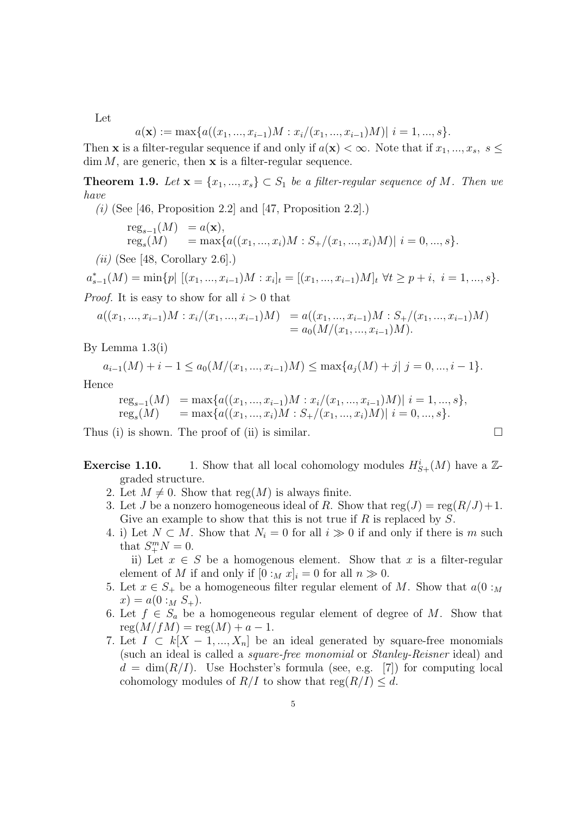Let

$$
a(\mathbf{x}) := \max\{a((x_1, ..., x_{i-1})M : x_i/(x_1, ..., x_{i-1})M)| i = 1, ..., s\}.
$$

Then **x** is a filter-regular sequence if and only if  $a(\mathbf{x}) < \infty$ . Note that if  $x_1, ..., x_s$ ,  $s \leq$  $\dim M$ , are generic, then **x** is a filter-regular sequence.

**Theorem 1.9.** Let  $\mathbf{x} = \{x_1, ..., x_s\} \subset S_1$  be a filter-regular sequence of M. Then we have

(i) (See [46, Proposition 2.2] and [47, Proposition 2.2].)

reg<sub>s-1</sub>
$$
(M)
$$
 =  $a(\mathbf{x}),$   
reg<sub>s</sub> $(M)$  = max{ $a((x_1,...,x_i)M : S_+/(x_1,...,x_i)M) | i = 0,...,s$  }.

 $(ii)$  (See [48, Corollary 2.6].)

$$
a_{s-1}^*(M) = \min\{p \mid [(x_1, ..., x_{i-1})M : x_i]_t = [(x_1, ..., x_{i-1})M]_t \,\,\forall t \ge p+i, \,\,i = 1, ..., s\}.
$$

*Proof.* It is easy to show for all  $i > 0$  that

$$
a((x_1, ..., x_{i-1})M : x_i/(x_1, ..., x_{i-1})M) = a((x_1, ..., x_{i-1})M : S_+/(x_1, ..., x_{i-1})M)
$$
  
=  $a_0(M/(x_1, ..., x_{i-1})M).$ 

By Lemma 1.3(i)

$$
a_{i-1}(M) + i - 1 \le a_0(M/(x_1, ..., x_{i-1})M) \le \max\{a_j(M) + j | j = 0, ..., i - 1\}.
$$

Hence

reg<sub>s-1</sub>
$$
(M)
$$
 = max{ $a((x_1, ..., x_{i-1})M : x_i/(x_1, ..., x_{i-1})M)$ |  $i = 1, ..., s$ },  
reg<sub>s</sub> $(M)$  = max{ $a((x_1, ..., x_i)M : S_+/(x_1, ..., x_i)M)$ |  $i = 0, ..., s$ }.

Thus (i) is shown. The proof of (ii) is similar.  $\square$ 

**Exercise 1.10.** 1. Show that all local cohomology modules  $H^i_{S+}(M)$  have a  $\mathbb{Z}$ graded structure.

- 2. Let  $M \neq 0$ . Show that reg(M) is always finite.
- 3. Let J be a nonzero homogeneous ideal of R. Show that  $reg(J) = reg(R/J) + 1$ . Give an example to show that this is not true if  $R$  is replaced by  $S$ .
- 4. i) Let  $N \subset M$ . Show that  $N_i = 0$  for all  $i \gg 0$  if and only if there is m such that  $S^m_+N=0$ .

ii) Let  $x \in S$  be a homogenous element. Show that x is a filter-regular element of M if and only if  $[0 :_M x]_i = 0$  for all  $n \gg 0$ .

- 5. Let  $x \in S_+$  be a homogeneous filter regular element of M. Show that  $a(0 :_M)$  $x) = a(0:_{M} S_{+}).$
- 6. Let  $f \in S_a$  be a homogeneous regular element of degree of M. Show that  $reg(M/fM) = reg(M) + a - 1.$
- 7. Let  $I \subset k[X-1,...,X_n]$  be an ideal generated by square-free monomials (such an ideal is called a square-free monomial or Stanley-Reisner ideal) and  $d = \dim(R/I)$ . Use Hochster's formula (see, e.g. [7]) for computing local cohomology modules of  $R/I$  to show that  $reg(R/I) \leq d$ .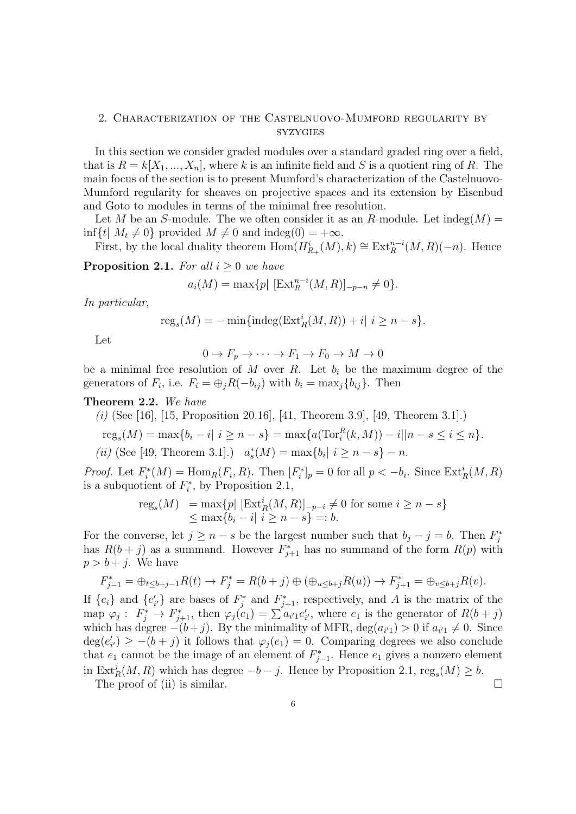## 2. Characterization of the Castelnuovo-Mumford regularity by syzygies

In this section we consider graded modules over a standard graded ring over a field, that is  $R = k[X_1, ..., X_n]$ , where k is an infinite field and S is a quotient ring of R. The main focus of the section is to present Mumford's characterization of the Castelnuovo-Mumford regularity for sheaves on projective spaces and its extension by Eisenbud and Goto to modules in terms of the minimal free resolution.

Let M be an S-module. The we often consider it as an R-module. Let  $\text{indeg}(M) =$  $\inf\{t \mid M_t \neq 0\}$  provided  $M \neq 0$  and  $\text{indeg}(0) = +\infty$ .

First, by the local duality theorem  $\text{Hom}(H_{R_+}^i(M), k) \cong \text{Ext}_R^{n-i}(M, R)(-n)$ . Hence

**Proposition 2.1.** For all  $i \geq 0$  we have

$$
a_i(M) = \max\{p \mid [\text{Ext}_{R}^{n-i}(M,R)]_{-p-n} \neq 0\}.
$$

In particular,

$$
reg_s(M) = -\min\{indeg(\operatorname{Ext}^i_R(M,R)) + i|\ i \ge n - s\}.
$$

Let

$$
0 \to F_p \to \cdots \to F_1 \to F_0 \to M \to 0
$$

be a minimal free resolution of M over R. Let  $b_i$  be the maximum degree of the generators of  $F_i$ , i.e.  $F_i = \bigoplus_j R(-b_{ij})$  with  $b_i = \max_j \{b_{ij}\}\$ . Then

## Theorem 2.2. We have

(i) (See [16], [15, Proposition 20.16], [41, Theorem 3.9], [49, Theorem 3.1].)

$$
reg_s(M) = \max\{b_i - i | i \ge n - s\} = \max\{a(\text{Tor}_i^R(k, M)) - i || n - s \le i \le n\}.
$$

(*ii*) (See [49, Theorem 3.1].)  $a_s^*(M) = \max\{b_i | i \geq n - s\} - n$ .

*Proof.* Let  $F_i^*(M) = \text{Hom}_R(F_i, R)$ . Then  $[F_i^*]_p = 0$  for all  $p < -b_i$ . Since  $\text{Ext}_R^i(M, R)$ is a subquotient of  $F_i^*$ , by Proposition 2.1,

$$
\text{reg}_s(M) = \max\{p \mid [\text{Ext}_R^i(M, R)]_{-p-i} \neq 0 \text{ for some } i \geq n-s\}
$$
  
\$\leq\$ max{b<sub>i</sub> - i | i \geq n - s} =: b.

For the converse, let  $j \geq n - s$  be the largest number such that  $b_j - j = b$ . Then  $F_j^*$ has  $R(b + j)$  as a summand. However  $F_{j+1}^*$  has no summand of the form  $R(p)$  with  $p > b + j$ . We have

$$
F_{j-1}^* = \bigoplus_{t \leq b+j-1} R(t) \to F_j^* = R(b+j) \oplus (\bigoplus_{u \leq b+j} R(u)) \to F_{j+1}^* = \bigoplus_{v \leq b+j} R(v).
$$

If  $\{e_i\}$  and  $\{e'_{i'}\}$  are bases of  $F_j^*$  and  $F_{j+1}^*$ , respectively, and A is the matrix of the map  $\varphi_j: F_j^* \to F_{j+1}^*$ , then  $\varphi_j(e_1) = \sum a_{i'} e'_{i'}$ , where  $e_1$  is the generator of  $R(b+j)$ which has degree  $-(b+j)$ . By the minimality of MFR,  $deg(a_{i'1}) > 0$  if  $a_{i'1} \neq 0$ . Since  $deg(e'_{i'}) \ge -(b+j)$  it follows that  $\varphi_j(e_1) = 0$ . Comparing degrees we also conclude that  $e_1$  cannot be the image of an element of  $F_{j-1}^*$ . Hence  $e_1$  gives a nonzero element in  $\text{Ext}^j_R(M, R)$  which has degree  $-b - j$ . Hence by Proposition 2.1,  $\text{reg}_s(M) \geq b$ . The proof of (ii) is similar.  $\Box$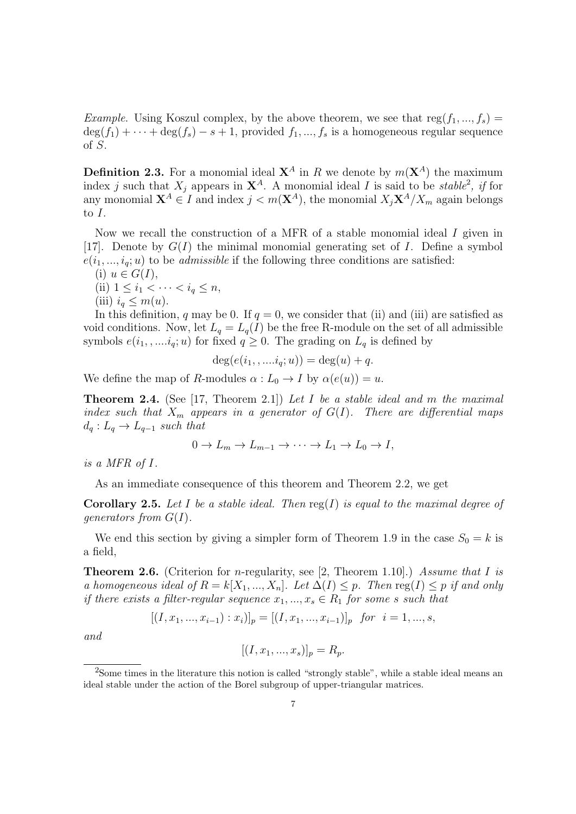*Example.* Using Koszul complex, by the above theorem, we see that  $reg(f_1, ..., f_s)$  $\deg(f_1) + \cdots + \deg(f_s) - s + 1$ , provided  $f_1, ..., f_s$  is a homogeneous regular sequence of S.

**Definition 2.3.** For a monomial ideal  $X^A$  in R we denote by  $m(X^A)$  the maximum index j such that  $X_j$  appears in  $\mathbf{X}^A$ . A monomial ideal I is said to be stable<sup>2</sup>, if for any monomial  $\mathbf{X}^A \in I$  and index  $j < m(\mathbf{X}^A)$ , the monomial  $X_j \mathbf{X}^A / X_m$  again belongs to I.

Now we recall the construction of a MFR of a stable monomial ideal  $I$  given in [17]. Denote by  $G(I)$  the minimal monomial generating set of I. Define a symbol  $e(i_1, ..., i_q; u)$  to be *admissible* if the following three conditions are satisfied:

(i)  $u \in G(I)$ ,

(ii) 
$$
1 \leq i_1 < \cdots < i_q \leq n
$$
, (iii)  $i_q \leq m(u)$ .

In this definition, q may be 0. If  $q = 0$ , we consider that (ii) and (iii) are satisfied as void conditions. Now, let  $L_q = L_q(I)$  be the free R-module on the set of all admissible symbols  $e(i_1, \ldots, i_q; u)$  for fixed  $q \geq 0$ . The grading on  $L_q$  is defined by

$$
\deg(e(i_1, \ldots, i_q; u)) = \deg(u) + q.
$$

We define the map of R-modules  $\alpha : L_0 \to I$  by  $\alpha(e(u)) = u$ .

**Theorem 2.4.** (See [17, Theorem 2.1]) Let I be a stable ideal and m the maximal index such that  $X_m$  appears in a generator of  $G(I)$ . There are differential maps  $d_q: L_q \to L_{q-1}$  such that

$$
0 \to L_m \to L_{m-1} \to \cdots \to L_1 \to L_0 \to I,
$$

is a MFR of I.

As an immediate consequence of this theorem and Theorem 2.2, we get

**Corollary 2.5.** Let I be a stable ideal. Then  $reg(I)$  is equal to the maximal degree of generators from  $G(I)$ .

We end this section by giving a simpler form of Theorem 1.9 in the case  $S_0 = k$  is a field,

**Theorem 2.6.** (Criterion for *n*-regularity, see [2, Theorem 1.10].) Assume that I is a homogeneous ideal of  $R = k[X_1, ..., X_n]$ . Let  $\Delta(I) \leq p$ . Then reg $(I) \leq p$  if and only if there exists a filter-regular sequence  $x_1, ..., x_s \in R_1$  for some s such that

$$
[(I, x_1, ..., x_{i-1}) : x_i)]_p = [(I, x_1, ..., x_{i-1})]_p \text{ for } i = 1, ..., s,
$$

and

$$
[(I, x_1, ..., x_s)]_p = R_p.
$$

<sup>&</sup>lt;sup>2</sup>Some times in the literature this notion is called "strongly stable", while a stable ideal means an ideal stable under the action of the Borel subgroup of upper-triangular matrices.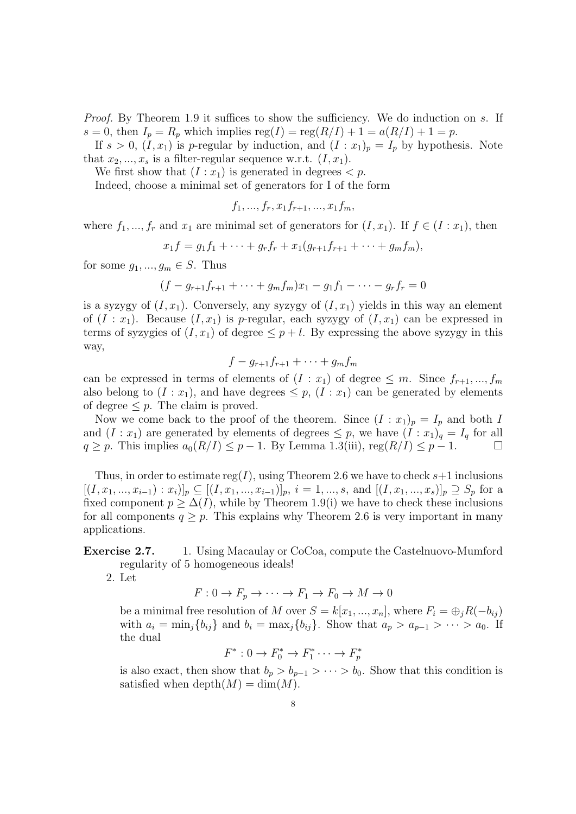Proof. By Theorem 1.9 it suffices to show the sufficiency. We do induction on s. If  $s = 0$ , then  $I_p = R_p$  which implies  $reg(I) = reg(R/I) + 1 = a(R/I) + 1 = p$ .

If  $s > 0$ ,  $(I, x_1)$  is p-regular by induction, and  $(I : x_1)_p = I_p$  by hypothesis. Note that  $x_2, ..., x_s$  is a filter-regular sequence w.r.t.  $(I, x_1)$ .

We first show that  $(I : x_1)$  is generated in degrees  $\lt p$ .

Indeed, choose a minimal set of generators for I of the form

$$
f_1, \ldots, f_r, x_1 f_{r+1}, \ldots, x_1 f_m,
$$

where  $f_1, ..., f_r$  and  $x_1$  are minimal set of generators for  $(I, x_1)$ . If  $f \in (I : x_1)$ , then

$$
x_1f = g_1f_1 + \cdots + g_rf_r + x_1(g_{r+1}f_{r+1} + \cdots + g_mf_m),
$$

for some  $g_1, ..., g_m \in S$ . Thus

$$
(f - g_{r+1}f_{r+1} + \dots + g_m f_m)x_1 - g_1 f_1 - \dots - g_r f_r = 0
$$

is a syzygy of  $(I, x_1)$ . Conversely, any syzygy of  $(I, x_1)$  yields in this way an element of  $(I : x_1)$ . Because  $(I, x_1)$  is p-regular, each syzygy of  $(I, x_1)$  can be expressed in terms of syzygies of  $(I, x_1)$  of degree  $\leq p + l$ . By expressing the above syzygy in this way,

$$
f-g_{r+1}f_{r+1}+\cdots+g_mf_m
$$

can be expressed in terms of elements of  $(I : x_1)$  of degree  $\leq m$ . Since  $f_{r+1},...,f_m$ also belong to  $(I : x_1)$ , and have degrees  $\leq p$ ,  $(I : x_1)$  can be generated by elements of degree  $\leq p$ . The claim is proved.

Now we come back to the proof of the theorem. Since  $(I : x_1)_p = I_p$  and both I and  $(I : x_1)$  are generated by elements of degrees  $\leq p$ , we have  $(I : x_1)_q = I_q$  for all  $q \geq p$ . This implies  $a_0(R/I) \leq p-1$ . By Lemma 1.3(iii), reg $(R/I) \leq p-1$ .

Thus, in order to estimate reg(I), using Theorem 2.6 we have to check  $s+1$  inclusions  $[(I, x_1, ..., x_{i-1}): x_i)]_p \subseteq [(I, x_1, ..., x_{i-1})]_p, i = 1, ..., s$ , and  $[(I, x_1, ..., x_s)]_p \supseteq S_p$  for a fixed component  $p \geq \Delta(I)$ , while by Theorem 1.9(i) we have to check these inclusions for all components  $q \geq p$ . This explains why Theorem 2.6 is very important in many applications.

# Exercise 2.7. 1. Using Macaulay or CoCoa, compute the Castelnuovo-Mumford regularity of 5 homogeneous ideals!

2. Let

 $F: 0 \to F_n \to \cdots \to F_1 \to F_0 \to M \to 0$ 

be a minimal free resolution of M over  $S = k[x_1, ..., x_n]$ , where  $F_i = \bigoplus_i R(-b_{ij})$ with  $a_i = \min_j \{b_{ij}\}\$ and  $b_i = \max_j \{b_{ij}\}\$ . Show that  $a_p > a_{p-1} > \cdots > a_0$ . If the dual

$$
F^* : 0 \to F_0^* \to F_1^* \cdots \to F_p^*
$$

is also exact, then show that  $b_p > b_{p-1} > \cdots > b_0$ . Show that this condition is satisfied when depth $(M) = \dim(M)$ .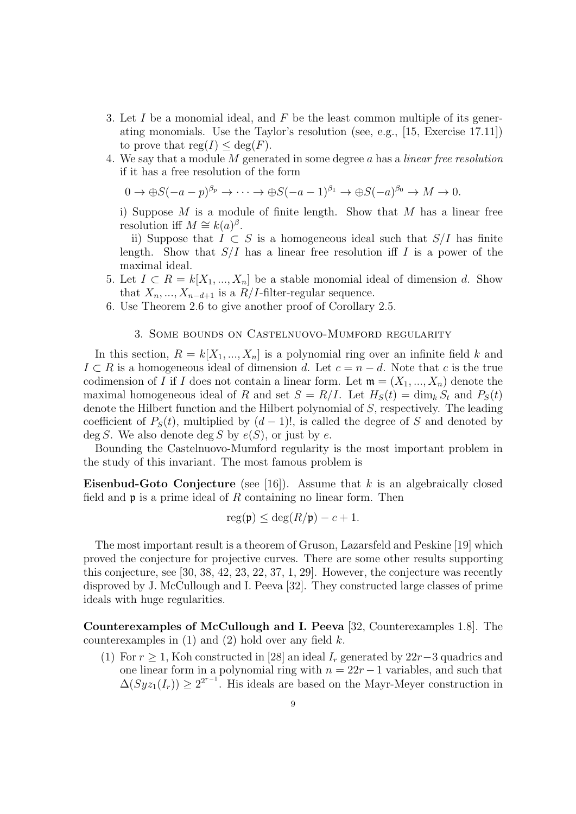- 3. Let  $I$  be a monomial ideal, and  $F$  be the least common multiple of its generating monomials. Use the Taylor's resolution (see, e.g., [15, Exercise 17.11]) to prove that  $reg(I) \leq deg(F)$ .
- 4. We say that a module M generated in some degree a has a linear free resolution if it has a free resolution of the form

 $0 \to \bigoplus S(-a-p)^{\beta_p} \to \cdots \to \bigoplus S(-a-1)^{\beta_1} \to \bigoplus S(-a)^{\beta_0} \to M \to 0.$ 

i) Suppose  $M$  is a module of finite length. Show that  $M$  has a linear free resolution iff  $M \cong k(a)^{\beta}$ .

ii) Suppose that  $I \subset S$  is a homogeneous ideal such that  $S/I$  has finite length. Show that  $S/I$  has a linear free resolution iff I is a power of the maximal ideal.

- 5. Let  $I \subset R = k[X_1, ..., X_n]$  be a stable monomial ideal of dimension d. Show that  $X_n, ..., X_{n-d+1}$  is a  $R/I$ -filter-regular sequence.
- 6. Use Theorem 2.6 to give another proof of Corollary 2.5.

## 3. Some bounds on Castelnuovo-Mumford regularity

In this section,  $R = k[X_1, ..., X_n]$  is a polynomial ring over an infinite field k and  $I \subset R$  is a homogeneous ideal of dimension d. Let  $c = n - d$ . Note that c is the true codimension of I if I does not contain a linear form. Let  $\mathfrak{m} = (X_1, ..., X_n)$  denote the maximal homogeneous ideal of R and set  $S = R/I$ . Let  $H_S(t) = \dim_k S_t$  and  $P_S(t)$ denote the Hilbert function and the Hilbert polynomial of S, respectively. The leading coefficient of  $P_S(t)$ , multiplied by  $(d-1)!$ , is called the degree of S and denoted by  $\deg S$ . We also denote  $\deg S$  by  $e(S)$ , or just by e.

Bounding the Castelnuovo-Mumford regularity is the most important problem in the study of this invariant. The most famous problem is

Eisenbud-Goto Conjecture (see [16]). Assume that  $k$  is an algebraically closed field and  $\mathfrak p$  is a prime ideal of R containing no linear form. Then

$$
reg(\mathfrak{p}) \le deg(R/\mathfrak{p}) - c + 1.
$$

The most important result is a theorem of Gruson, Lazarsfeld and Peskine [19] which proved the conjecture for projective curves. There are some other results supporting this conjecture, see [30, 38, 42, 23, 22, 37, 1, 29]. However, the conjecture was recently disproved by J. McCullough and I. Peeva [32]. They constructed large classes of prime ideals with huge regularities.

Counterexamples of McCullough and I. Peeva [32, Counterexamples 1.8]. The counterexamples in  $(1)$  and  $(2)$  hold over any field k.

(1) For  $r \geq 1$ , Koh constructed in [28] an ideal  $I_r$  generated by 22r-3 quadrics and one linear form in a polynomial ring with  $n = 22r - 1$  variables, and such that  $\Delta(Syz_1(I_r)) \geq 2^{2^{r-1}}$ . His ideals are based on the Mayr-Meyer construction in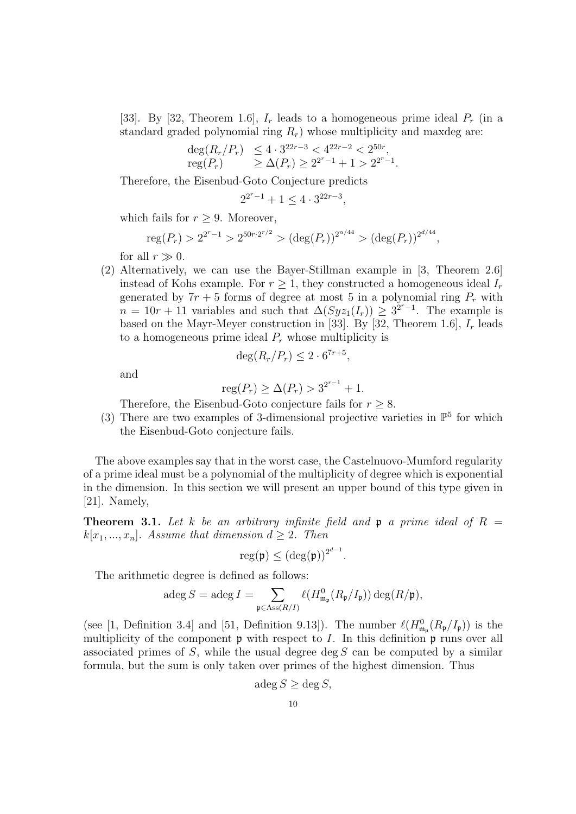[33]. By [32, Theorem 1.6],  $I_r$  leads to a homogeneous prime ideal  $P_r$  (in a standard graded polynomial ring  $R_r$ ) whose multiplicity and maxdeg are:

$$
\begin{array}{ll}\deg(R_r/P_r) & \leq 4 \cdot 3^{22r-3} < 4^{22r-2} < 2^{50r}, \\
\operatorname{reg}(P_r) & \geq \Delta(P_r) \geq 2^{2r-1} + 1 > 2^{2r-1}.\n\end{array}
$$

Therefore, the Eisenbud-Goto Conjecture predicts

$$
2^{2^{r}-1} + 1 \le 4 \cdot 3^{22r-3},
$$

which fails for  $r > 9$ . Moreover,

$$
reg(P_r) > 2^{2^r-1} > 2^{50r \cdot 2^{r/2}} > (deg(P_r))^{2^{n/44}} > (deg(P_r))^{2^{d/44}},
$$

for all  $r \gg 0$ .

(2) Alternatively, we can use the Bayer-Stillman example in [3, Theorem 2.6] instead of Kohs example. For  $r \geq 1$ , they constructed a homogeneous ideal  $I_r$ generated by  $7r + 5$  forms of degree at most 5 in a polynomial ring  $P_r$  with  $n = 10r + 11$  variables and such that  $\Delta(Syz_1(I_r)) \geq 3^{2r-1}$ . The example is based on the Mayr-Meyer construction in [33]. By [32, Theorem 1.6],  $I_r$  leads to a homogeneous prime ideal  $P_r$  whose multiplicity is

$$
\deg(R_r/P_r) \le 2 \cdot 6^{7r+5},
$$

and

$$
reg(P_r) \geq \Delta(P_r) > 3^{2^{r-1}} + 1.
$$

Therefore, the Eisenbud-Goto conjecture fails for  $r \geq 8$ .

(3) There are two examples of 3-dimensional projective varieties in  $\mathbb{P}^5$  for which the Eisenbud-Goto conjecture fails.

The above examples say that in the worst case, the Castelnuovo-Mumford regularity of a prime ideal must be a polynomial of the multiplicity of degree which is exponential in the dimension. In this section we will present an upper bound of this type given in [21]. Namely,

**Theorem 3.1.** Let k be an arbitrary infinite field and **p** a prime ideal of  $R =$  $k[x_1, ..., x_n]$ . Assume that dimension  $d \geq 2$ . Then

$$
\operatorname{reg}(\mathfrak{p}) \leq (\operatorname{deg}(\mathfrak{p}))^{2^{d-1}}.
$$

The arithmetic degree is defined as follows:

$$
\operatorname{adeg} S = \operatorname{adeg} I = \sum_{\mathfrak{p} \in \operatorname{Ass}(R/I)} \ell(H^0_{\mathfrak{m}_{\mathfrak{p}}}(R_{\mathfrak{p}}/I_{\mathfrak{p}})) \operatorname{deg}(R/\mathfrak{p}),
$$

(see [1, Definition 3.4] and [51, Definition 9.13]). The number  $\ell(H_{\mathfrak{m}_{\mathfrak{p}}}(R_{\mathfrak{p}}/I_{\mathfrak{p}}))$  is the multiplicity of the component  $\mathfrak p$  with respect to I. In this definition  $\mathfrak p$  runs over all associated primes of  $S$ , while the usual degree deg  $S$  can be computed by a similar formula, but the sum is only taken over primes of the highest dimension. Thus

$$
\deg S \ge \deg S,
$$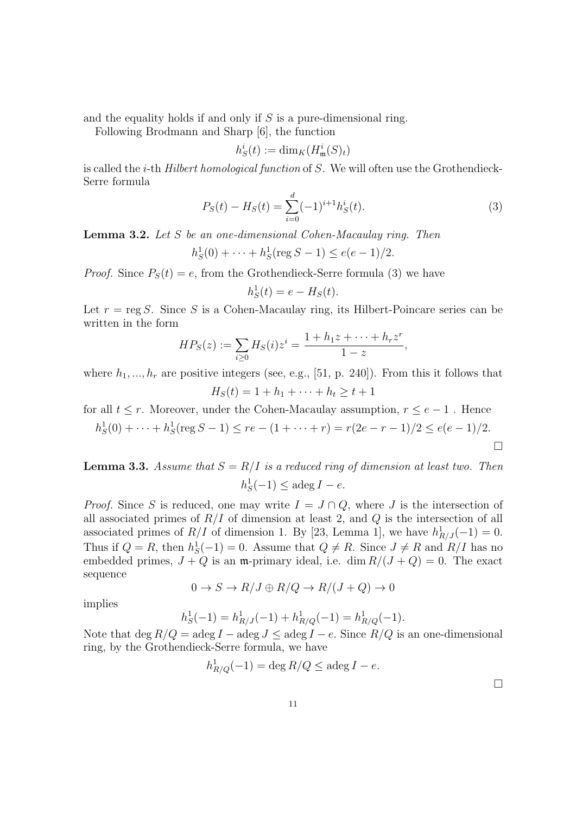and the equality holds if and only if  $S$  is a pure-dimensional ring.

Following Brodmann and Sharp [6], the function

$$
h_S^i(t) := \dim_K(H^i_{\mathfrak{m}}(S)_t)
$$

is called the i-th Hilbert homological function of S. We will often use the Grothendieck-Serre formula

$$
P_S(t) - H_S(t) = \sum_{i=0}^{d} (-1)^{i+1} h_S^i(t).
$$
\n(3)

Lemma 3.2. Let S be an one-dimensional Cohen-Macaulay ring. Then

$$
h_S^1(0) + \dots + h_S^1(\text{reg } S - 1) \le e(e - 1)/2.
$$

*Proof.* Since  $P_S(t) = e$ , from the Grothendieck-Serre formula (3) we have

$$
h_S^1(t) = e - H_S(t).
$$

Let  $r = \text{reg } S$ . Since S is a Cohen-Macaulay ring, its Hilbert-Poincare series can be written in the form

$$
HP_S(z) := \sum_{i \geq 0} H_S(i) z^i = \frac{1 + h_1 z + \dots + h_r z^r}{1 - z},
$$

where  $h_1, ..., h_r$  are positive integers (see, e.g., [51, p. 240]). From this it follows that  $H_S(t) = 1 + h_1 + \cdots + h_t \geq t + 1$ 

for all  $t \leq r$ . Moreover, under the Cohen-Macaulay assumption,  $r \leq e-1$ . Hence

$$
h_S^1(0) + \dots + h_S^1(\text{reg } S - 1) \le re - (1 + \dots + r) = r(2e - r - 1)/2 \le e(e - 1)/2.
$$

**Lemma 3.3.** Assume that  $S = R/I$  is a reduced ring of dimension at least two. Then  $h_S^1(-1) \leq \operatorname{adeg} I - e.$ 

*Proof.* Since S is reduced, one may write  $I = J \cap Q$ , where J is the intersection of all associated primes of  $R/I$  of dimension at least 2, and  $Q$  is the intersection of all associated primes of  $R/I$  of dimension 1. By [23, Lemma 1], we have  $h_{R/J}^1(-1) = 0$ . Thus if  $Q = R$ , then  $h_S^1(-1) = 0$ . Assume that  $Q \neq R$ . Since  $J \neq R$  and  $R/I$  has no embedded primes,  $J + Q$  is an m-primary ideal, i.e. dim  $R/(J + Q) = 0$ . The exact sequence

$$
0 \to S \to R/J \oplus R/Q \to R/(J+Q) \to 0
$$

implies

$$
h_S^1(-1) = h_{R/J}^1(-1) + h_{R/Q}^1(-1) = h_{R/Q}^1(-1).
$$

Note that deg  $R/Q = \text{adeg } I - \text{adeg } J \leq \text{adeg } I - e$ . Since  $R/Q$  is an one-dimensional ring, by the Grothendieck-Serre formula, we have

$$
h_{R/Q}^1(-1) = \deg R/Q \le \deg I - e.
$$

 $\Box$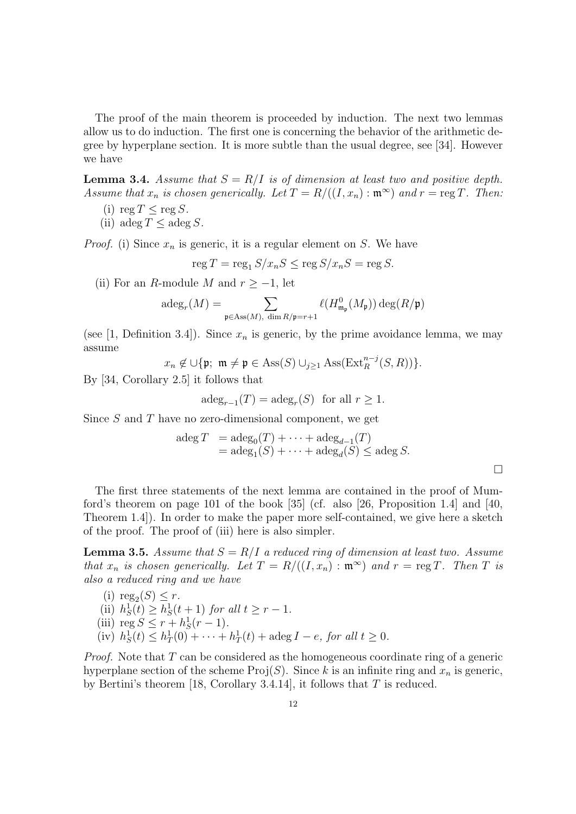The proof of the main theorem is proceeded by induction. The next two lemmas allow us to do induction. The first one is concerning the behavior of the arithmetic degree by hyperplane section. It is more subtle than the usual degree, see [34]. However we have

**Lemma 3.4.** Assume that  $S = R/I$  is of dimension at least two and positive depth. Assume that  $x_n$  is chosen generically. Let  $T = R/((I, x_n) : \mathfrak{m}^{\infty})$  and  $r = \text{reg } T$ . Then:

- (i) reg  $T \leq \text{reg } S$ .
- (ii) adeg  $T \leq \operatorname{adeg} S$ .

*Proof.* (i) Since  $x_n$  is generic, it is a regular element on S. We have

$$
\operatorname{reg} T = \operatorname{reg}_1 S/x_n S \le \operatorname{reg} S/x_n S = \operatorname{reg} S.
$$

(ii) For an R-module M and  $r \ge -1$ , let

$$
\mathrm{adeg}_r(M)=\sum_{\mathfrak{p}\in \mathrm{Ass}(M),\ \dim R/\mathfrak{p}=r+1}\ell(H_{\mathfrak{m}_\mathfrak{p}}^0(M_\mathfrak{p}))\deg(R/\mathfrak{p})
$$

(see [1, Definition 3.4]). Since  $x_n$  is generic, by the prime avoidance lemma, we may assume

 $x_n \notin \bigcup {\{\mathfrak{p}}; \; \mathfrak{m} \neq \mathfrak{p} \in \text{Ass}(S) \cup_{j \geq 1} \text{Ass}(\text{Ext}_R^{n-j}(S,R))\}.$ 

By [34, Corollary 2.5] it follows that

$$
\mathrm{adeg}_{r-1}(T) = \mathrm{adeg}_r(S) \quad \text{for all } r \ge 1.
$$

Since  $S$  and  $T$  have no zero-dimensional component, we get

$$
\begin{array}{lcl}\n\text{adeg } T & = \text{adeg}_0(T) + \dots + \text{adeg}_{d-1}(T) \\
& = \text{adeg}_1(S) + \dots + \text{adeg}_d(S) \leq \text{adeg } S.\n\end{array}
$$

 $\Box$ 

The first three statements of the next lemma are contained in the proof of Mumford's theorem on page 101 of the book [35] (cf. also [26, Proposition 1.4] and [40, Theorem 1.4]). In order to make the paper more self-contained, we give here a sketch of the proof. The proof of (iii) here is also simpler.

**Lemma 3.5.** Assume that  $S = R/I$  a reduced ring of dimension at least two. Assume that  $x_n$  is chosen generically. Let  $T = R/((I, x_n) : \mathfrak{m}^{\infty})$  and  $r = \text{reg } T$ . Then T is also a reduced ring and we have

- (i)  $reg_2(S) \leq r$ .
- (ii)  $h_S^1(t) \ge h_S^1(t+1)$  for all  $t \ge r-1$ .
- (iii)  $\text{reg } S \leq r + h_S^1(r 1)$ .
- (iv)  $h_S^1(t) \leq h_T^1(0) + \cdots + h_T^1(t) + \text{adeg } I e$ , for all  $t \geq 0$ .

*Proof.* Note that  $T$  can be considered as the homogeneous coordinate ring of a generic hyperplane section of the scheme  $\text{Proj}(S)$ . Since k is an infinite ring and  $x_n$  is generic, by Bertini's theorem [18, Corollary 3.4.14], it follows that  $T$  is reduced.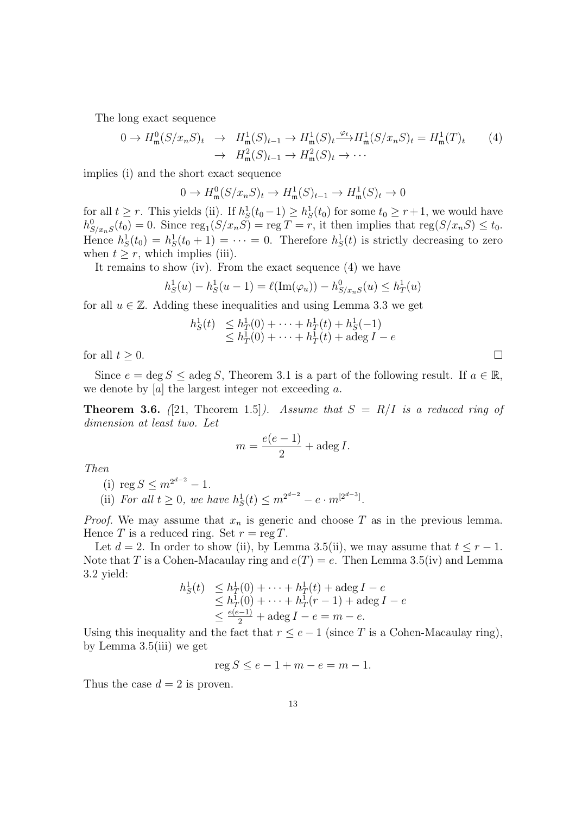The long exact sequence

$$
0 \to H_{\mathfrak{m}}^{0}(S/x_{n}S)_{t} \to H_{\mathfrak{m}}^{1}(S)_{t-1} \to H_{\mathfrak{m}}^{1}(S)_{t} \xrightarrow{\varphi_{t}} H_{\mathfrak{m}}^{1}(S/x_{n}S)_{t} = H_{\mathfrak{m}}^{1}(T)_{t}
$$
\n
$$
\to H_{\mathfrak{m}}^{2}(S)_{t-1} \to H_{\mathfrak{m}}^{2}(S)_{t} \to \cdots
$$
\n
$$
(4)
$$

implies (i) and the short exact sequence

$$
0 \to H^0_{\mathfrak{m}}(S/x_nS)_t \to H^1_{\mathfrak{m}}(S)_{t-1} \to H^1_{\mathfrak{m}}(S)_t \to 0
$$

for all  $t \geq r$ . This yields (ii). If  $h_S^1(t_0 - 1) \geq h_S^1(t_0)$  for some  $t_0 \geq r + 1$ , we would have  $h_{S/x_nS}^0(t_0) = 0$ . Since  $\text{reg}_1(S/x_nS) = \text{reg } T = r$ , it then implies that  $\text{reg}(S/x_nS) \leq t_0$ . Hence  $h_S^1(t_0) = h_S^1(t_0 + 1) = \cdots = 0$ . Therefore  $h_S^1(t)$  is strictly decreasing to zero when  $t \geq r$ , which implies (iii).

It remains to show (iv). From the exact sequence (4) we have

$$
h_S^1(u) - h_S^1(u-1) = \ell(\text{Im}(\varphi_u)) - h_{S/x_nS}^0(u) \le h_T^1(u)
$$

for all  $u \in \mathbb{Z}$ . Adding these inequalities and using Lemma 3.3 we get

$$
h_S^1(t) \leq h_T^1(0) + \dots + h_T^1(t) + h_S^1(-1)
$$
  
\n
$$
\leq h_T^1(0) + \dots + h_T^1(t) + \text{adeg } I - e
$$

for all  $t \geq 0$ .

Since  $e = \deg S \le \deg S$ , Theorem 3.1 is a part of the following result. If  $a \in \mathbb{R}$ , we denote by  $[a]$  the largest integer not exceeding a.

**Theorem 3.6.** ([21, Theorem 1.5]). Assume that  $S = R/I$  is a reduced ring of dimension at least two. Let

$$
m = \frac{e(e-1)}{2} + \text{adeg } I.
$$

Then

(i) reg  $S \leq m^{2^{d-2}} - 1$ .

(ii) For all  $t \geq 0$ , we have  $h_S^1(t) \leq m^{2^{d-2}} - e \cdot m^{[2^{d-3}]}$ .

*Proof.* We may assume that  $x_n$  is generic and choose T as in the previous lemma. Hence T is a reduced ring. Set  $r = \text{reg } T$ .

Let  $d = 2$ . In order to show (ii), by Lemma 3.5(ii), we may assume that  $t \leq r - 1$ . Note that T is a Cohen-Macaulay ring and  $e(T) = e$ . Then Lemma 3.5(iv) and Lemma 3.2 yield:

$$
h_S^1(t) \leq h_T^1(0) + \dots + h_T^1(t) + \text{adeg } I - e
$$
  
\n
$$
\leq h_T^1(0) + \dots + h_T^1(r - 1) + \text{adeg } I - e
$$
  
\n
$$
\leq \frac{e(e-1)}{2} + \text{adeg } I - e = m - e.
$$

Using this inequality and the fact that  $r \le e-1$  (since T is a Cohen-Macaulay ring), by Lemma 3.5(iii) we get

 $reg S \le e - 1 + m - e = m - 1.$ 

Thus the case  $d = 2$  is proven.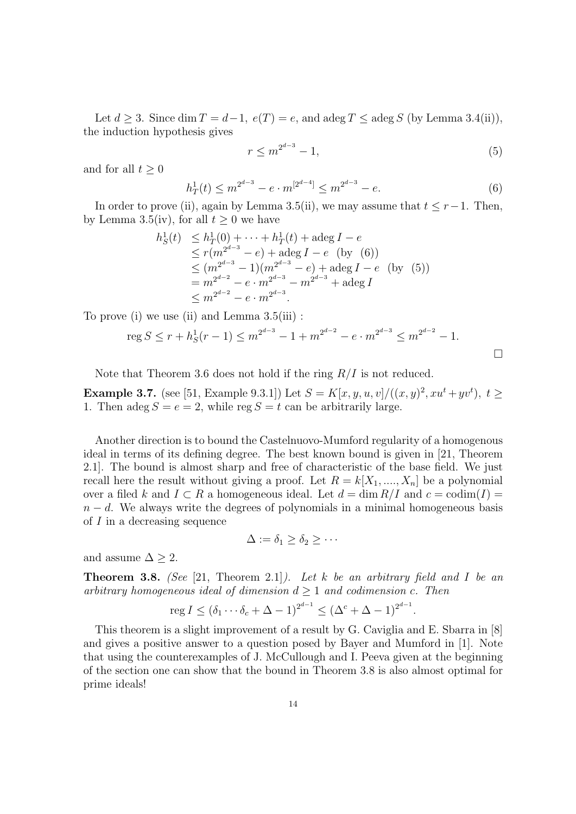Let  $d \geq 3$ . Since dim  $T = d-1$ ,  $e(T) = e$ , and adeg  $T \leq$  adeg S (by Lemma 3.4(ii)), the induction hypothesis gives

$$
r \le m^{2^{d-3}} - 1,\tag{5}
$$

 $\Box$ 

and for all  $t \geq 0$ 

$$
h_T^1(t) \le m^{2^{d-3}} - e \cdot m^{[2^{d-4}]} \le m^{2^{d-3}} - e. \tag{6}
$$

In order to prove (ii), again by Lemma 3.5(ii), we may assume that  $t \leq r-1$ . Then, by Lemma 3.5(iv), for all  $t \geq 0$  we have

$$
h_S^1(t) \leq h_T^1(0) + \dots + h_T^1(t) + \text{adeg } I - e
$$
  
\n
$$
\leq r(m^{2^{d-3}} - e) + \text{adeg } I - e \text{ (by (6))}
$$
  
\n
$$
\leq (m^{2^{d-3}} - 1)(m^{2^{d-3}} - e) + \text{adeg } I - e \text{ (by (5))}
$$
  
\n
$$
= m^{2^{d-2}} - e \cdot m^{2^{d-3}} - m^{2^{d-3}} + \text{adeg } I
$$
  
\n
$$
\leq m^{2^{d-2}} - e \cdot m^{2^{d-3}}.
$$

To prove (i) we use (ii) and Lemma 3.5(iii) :

$$
\operatorname{reg} S \le r + h_S^1(r - 1) \le m^{2^{d-3}} - 1 + m^{2^{d-2}} - e \cdot m^{2^{d-3}} \le m^{2^{d-2}} - 1.
$$

Note that Theorem 3.6 does not hold if the ring  $R/I$  is not reduced.

**Example 3.7.** (see [51, Example 9.3.1]) Let  $S = K[x, y, u, v]/((x, y)^2, xu^t + yv^t), t \geq$ 1. Then adeg  $S = e = 2$ , while reg  $S = t$  can be arbitrarily large.

Another direction is to bound the Castelnuovo-Mumford regularity of a homogenous ideal in terms of its defining degree. The best known bound is given in [21, Theorem 2.1]. The bound is almost sharp and free of characteristic of the base field. We just recall here the result without giving a proof. Let  $R = k[X_1, ..., X_n]$  be a polynomial over a filed k and  $I \subset R$  a homogeneous ideal. Let  $d = \dim R/I$  and  $c = \text{codim}(I) =$  $n - d$ . We always write the degrees of polynomials in a minimal homogeneous basis of I in a decreasing sequence

$$
\Delta := \delta_1 \ge \delta_2 \ge \cdots
$$

and assume  $\Delta \geq 2$ .

**Theorem 3.8.** (See [21, Theorem 2.1]). Let k be an arbitrary field and I be an arbitrary homogeneous ideal of dimension  $d \geq 1$  and codimension c. Then

$$
\operatorname{reg} I \le (\delta_1 \cdots \delta_c + \Delta - 1)^{2^{d-1}} \le (\Delta^c + \Delta - 1)^{2^{d-1}}.
$$

This theorem is a slight improvement of a result by G. Caviglia and E. Sbarra in [8] and gives a positive answer to a question posed by Bayer and Mumford in [1]. Note that using the counterexamples of J. McCullough and I. Peeva given at the beginning of the section one can show that the bound in Theorem 3.8 is also almost optimal for prime ideals!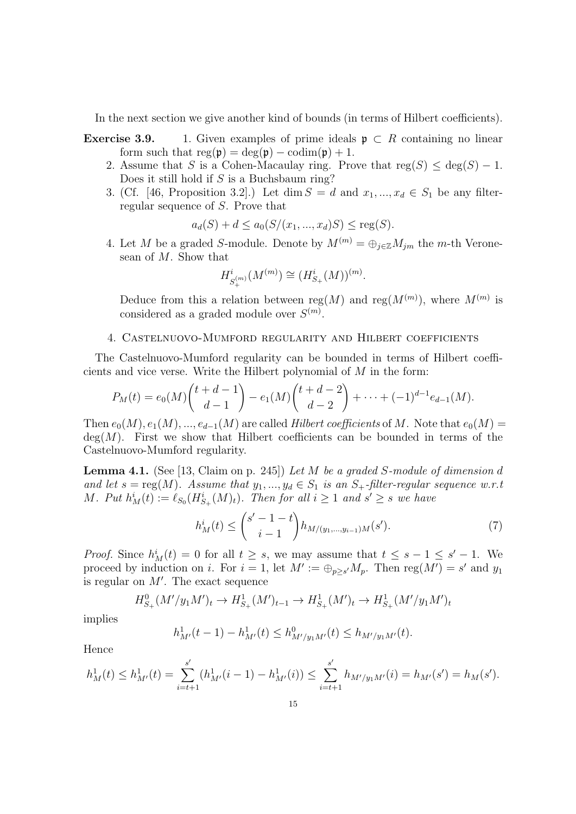In the next section we give another kind of bounds (in terms of Hilbert coefficients).

- **Exercise 3.9.** 1. Given examples of prime ideals  $\mathfrak{p} \subset R$  containing no linear form such that  $reg(\mathfrak{p}) = deg(\mathfrak{p}) - codim(\mathfrak{p}) + 1$ .
	- 2. Assume that S is a Cohen-Macaulay ring. Prove that  $reg(S) < deg(S) 1$ . Does it still hold if  $S$  is a Buchsbaum ring?
	- 3. (Cf. [46, Proposition 3.2].) Let dim  $S = d$  and  $x_1, ..., x_d \in S_1$  be any filterregular sequence of S. Prove that

$$
a_d(S) + d \le a_0(S/(x_1, ..., x_d)S) \le \text{reg}(S).
$$

4. Let M be a graded S-module. Denote by  $M^{(m)} = \bigoplus_{i \in \mathbb{Z}} M_{im}$  the m-th Veronesean of M. Show that

$$
H^i_{S^{(m)}_+}(M^{(m)}) \cong (H^i_{S_+}(M))^{(m)}.
$$

Deduce from this a relation between reg $(M)$  and reg $(M^{(m)})$ , where  $M^{(m)}$  is considered as a graded module over  $S^{(m)}$ .

## 4. Castelnuovo-Mumford regularity and Hilbert coefficients

The Castelnuovo-Mumford regularity can be bounded in terms of Hilbert coefficients and vice verse. Write the Hilbert polynomial of  $M$  in the form:

$$
P_M(t) = e_0(M) \binom{t+d-1}{d-1} - e_1(M) \binom{t+d-2}{d-2} + \cdots + (-1)^{d-1} e_{d-1}(M).
$$

Then  $e_0(M), e_1(M), ..., e_{d-1}(M)$  are called Hilbert coefficients of M. Note that  $e_0(M)$  =  $deg(M)$ . First we show that Hilbert coefficients can be bounded in terms of the Castelnuovo-Mumford regularity.

**Lemma 4.1.** (See [13, Claim on p. 245]) Let M be a graded S-module of dimension d and let  $s = \text{reg}(M)$ . Assume that  $y_1, ..., y_d \in S_1$  is an  $S_+$ -filter-regular sequence w.r.t M. Put  $h_M^i(t) := \ell_{S_0}(H_{S_+}^i(M)_t)$ . Then for all  $i \geq 1$  and  $s' \geq s$  we have

$$
h_M^i(t) \le \binom{s'-1-t}{i-1} h_{M/(y_1,\dots,y_{i-1})M}(s'). \tag{7}
$$

*Proof.* Since  $h_M^i(t) = 0$  for all  $t \geq s$ , we may assume that  $t \leq s - 1 \leq s' - 1$ . We proceed by induction on *i*. For  $i = 1$ , let  $M' := \bigoplus_{p \geq s'} M_p$ . Then reg $(M') = s'$  and  $y_1$ is regular on  $M'$ . The exact sequence

$$
H_{S_+}^0(M'/y_1M')_t \to H_{S_+}^1(M')_{t-1} \to H_{S_+}^1(M')_t \to H_{S_+}^1(M'/y_1M')_t
$$

implies

$$
h^1_{M'}(t-1) - h^1_{M'}(t) \le h^0_{M'/y_1M'}(t) \le h_{M'/y_1M'}(t).
$$

Hence

$$
h_M^1(t) \le h_{M'}^1(t) = \sum_{i=t+1}^{s'} (h_{M'}^1(i-1) - h_{M'}^1(i)) \le \sum_{i=t+1}^{s'} h_{M'/y_1 M'}(i) = h_{M'}(s') = h_M(s').
$$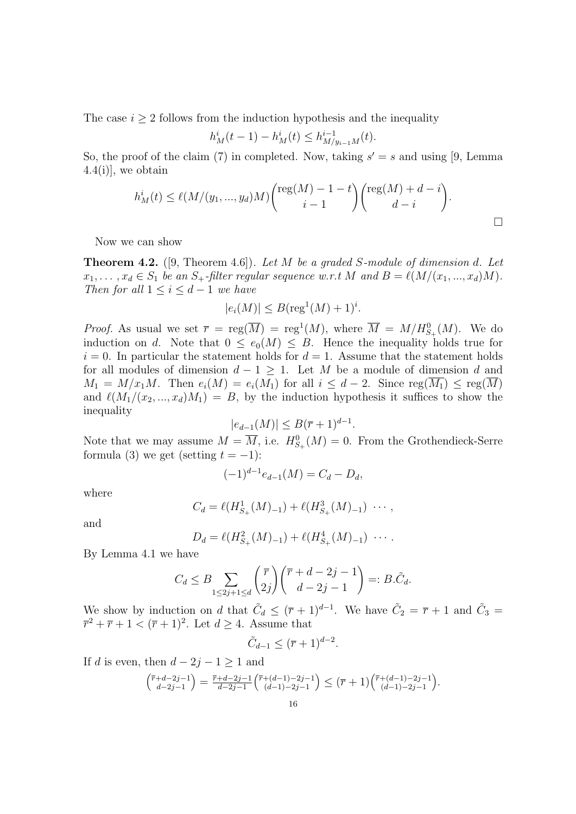The case  $i \geq 2$  follows from the induction hypothesis and the inequality

$$
h_M^i(t-1) - h_M^i(t) \le h_{M/y_{i-1}M}^{i-1}(t).
$$

So, the proof of the claim (7) in completed. Now, taking  $s' = s$  and using [9, Lemma 4.4(i)], we obtain

$$
h_M^i(t) \le \ell(M/(y_1, ..., y_d)M) \binom{\text{reg}(M) - 1 - t}{i - 1} \binom{\text{reg}(M) + d - i}{d - i}.
$$

Now we can show

**Theorem 4.2.** ([9, Theorem 4.6]). Let M be a graded S-module of dimension d. Let  $x_1, \ldots, x_d \in S_1$  be an  $S_+$ -filter regular sequence w.r.t M and  $B = \ell(M/(x_1, ..., x_d)M)$ . Then for all  $1 \leq i \leq d-1$  we have

$$
|e_i(M)| \le B(\text{reg}^1(M) + 1)^i.
$$

*Proof.* As usual we set  $\overline{r} = \text{reg}(\overline{M}) = \text{reg}^1(M)$ , where  $\overline{M} = M/H_{S_+}^0(M)$ . We do induction on d. Note that  $0 \le e_0(M) \le B$ . Hence the inequality holds true for  $i = 0$ . In particular the statement holds for  $d = 1$ . Assume that the statement holds for all modules of dimension  $d - 1 \geq 1$ . Let M be a module of dimension d and  $M_1 = M/x_1M$ . Then  $e_i(M) = e_i(M_1)$  for all  $i \leq d-2$ . Since  $reg(\overline{M_1}) \leq reg(\overline{M})$ and  $\ell(M_1/(x_2, ..., x_d)M_1) = B$ , by the induction hypothesis it suffices to show the inequality

$$
|e_{d-1}(M)| \le B(\overline{r}+1)^{d-1}.
$$

Note that we may assume  $M = \overline{M}$ , i.e.  $H_{S_+}^0(M) = 0$ . From the Grothendieck-Serre formula (3) we get (setting  $t = -1$ ):

$$
(-1)^{d-1}e_{d-1}(M) = C_d - D_d,
$$

where

$$
C_d = \ell(H^1_{S_+}(M)_{-1}) + \ell(H^3_{S_+}(M)_{-1}) \cdots,
$$

and

$$
D_d = \ell(H_{S_+}^2(M)_{-1}) + \ell(H_{S_+}^4(M)_{-1}) \cdots
$$

By Lemma 4.1 we have

$$
C_d \leq B \sum_{1 \leq 2j+1 \leq d} \binom{\overline{r}}{2j} \binom{\overline{r} + d - 2j - 1}{d - 2j - 1} =: B.\tilde{C}_d.
$$

We show by induction on d that  $\tilde{C}_d \leq (\overline{r}+1)^{d-1}$ . We have  $\tilde{C}_2 = \overline{r}+1$  and  $\tilde{C}_3 =$  $\overline{r}^2 + \overline{r} + 1 < (\overline{r} + 1)^2$ . Let  $d \geq 4$ . Assume that

$$
\tilde{C}_{d-1} \leq (\overline{r}+1)^{d-2}.
$$

If d is even, then  $d - 2j - 1 \ge 1$  and

$$
\binom{\overline{r}+d-2j-1}{d-2j-1}=\frac{\overline{r}+d-2j-1}{d-2j-1}\binom{\overline{r}+(d-1)-2j-1}{(d-1)-2j-1}\leq (\overline{r}+1)\binom{\overline{r}+(d-1)-2j-1}{(d-1)-2j-1}.
$$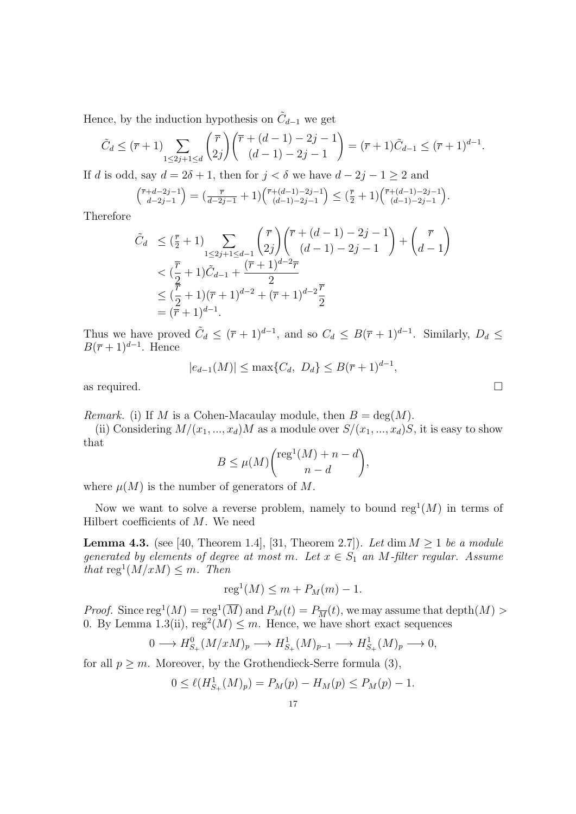Hence, by the induction hypothesis on  $\tilde{C}_{d-1}$  we get

$$
\tilde{C}_d \leq (\overline{r} + 1) \sum_{1 \leq 2j+1 \leq d} \binom{\overline{r}}{2j} \binom{\overline{r} + (d-1) - 2j - 1}{(d-1) - 2j - 1} = (\overline{r} + 1) \tilde{C}_{d-1} \leq (\overline{r} + 1)^{d-1}.
$$

If d is odd, say  $d = 2\delta + 1$ , then for  $j < \delta$  we have  $d - 2j - 1 \ge 2$  and

$$
\begin{pmatrix} \overline{r} + d - 2j - 1 \\ d - 2j - 1 \end{pmatrix} = \left( \frac{\overline{r}}{d - 2j - 1} + 1 \right) \begin{pmatrix} \overline{r} + (d - 1) - 2j - 1 \\ (d - 1) - 2j - 1 \end{pmatrix} \leq \left( \frac{\overline{r}}{2} + 1 \right) \begin{pmatrix} \overline{r} + (d - 1) - 2j - 1 \\ (d - 1) - 2j - 1 \end{pmatrix}.
$$

Therefore

$$
\tilde{C}_d \leq (\frac{\overline{r}}{2} + 1) \sum_{1 \leq 2j+1 \leq d-1} {\binom{\overline{r}}{2j}} {\binom{\overline{r} + (d-1) - 2j - 1}{(d-1) - 2j - 1}} + {\binom{\overline{r}}{d-1}} \n< (\frac{\overline{r}}{2} + 1)\tilde{C}_{d-1} + \frac{(\overline{r} + 1)^{d-2}\overline{r}}{2} \n< (\frac{\overline{r}}{2} + 1)(\overline{r} + 1)^{d-2} + (\overline{r} + 1)^{d-2}\frac{\overline{r}}{2} \n< (\overline{r} + 1)^{d-1}.
$$

Thus we have proved  $\tilde{C}_d \leq (\bar{r}+1)^{d-1}$ , and so  $C_d \leq B(\bar{r}+1)^{d-1}$ . Similarly,  $D_d \leq$  $B(\overline{r}+1)^{d-1}$ . Hence

 $|e_{d-1}(M)| \leq \max\{C_d, D_d\} \leq B(\overline{r}+1)^{d-1},$ 

as required.  $\Box$ 

*Remark.* (i) If M is a Cohen-Macaulay module, then  $B = \deg(M)$ .

(ii) Considering  $M/(x_1, ..., x_d)M$  as a module over  $S/(x_1, ..., x_d)S$ , it is easy to show that

$$
B \le \mu(M) {\operatorname{reg}^1(M) + n - d \choose n - d},
$$

where  $\mu(M)$  is the number of generators of M.

Now we want to solve a reverse problem, namely to bound  $reg<sup>1</sup>(M)$  in terms of Hilbert coefficients of  $M$ . We need

**Lemma 4.3.** (see [40, Theorem 1.4], [31, Theorem 2.7]). Let dim  $M \geq 1$  be a module generated by elements of degree at most m. Let  $x \in S_1$  an M-filter regular. Assume that  $\text{reg}^1(M/xM) \leq m$ . Then

$$
reg1(M) \le m + PM(m) - 1.
$$

*Proof.* Since  $reg^1(M) = reg^1(\overline{M})$  and  $P_M(t) = P_{\overline{M}}(t)$ , we may assume that  $depth(M) >$ 0. By Lemma 1.3(ii),  $reg<sup>2</sup>(M) \leq m$ . Hence, we have short exact sequences

$$
0 \longrightarrow H^0_{S_+}(M/xM)_p \longrightarrow H^1_{S_+}(M)_{p-1} \longrightarrow H^1_{S_+}(M)_p \longrightarrow 0,
$$

for all  $p \geq m$ . Moreover, by the Grothendieck-Serre formula (3),

$$
0 \le \ell (H_{S_+}^1(M)_p) = P_M(p) - H_M(p) \le P_M(p) - 1.
$$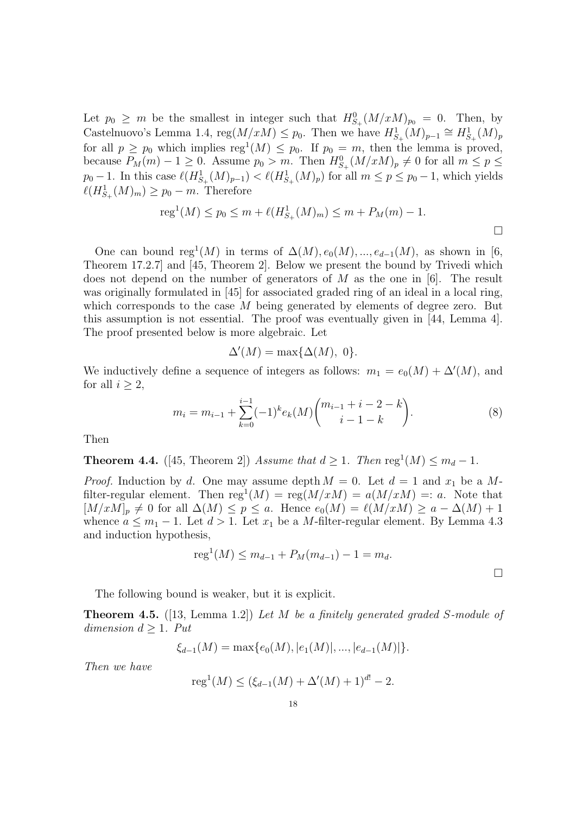Let  $p_0 \geq m$  be the smallest in integer such that  $H_{S_+}^0(M/xM)_{p_0} = 0$ . Then, by Castelnuovo's Lemma 1.4, reg $(M/xM) \leq p_0$ . Then we have  $H^1_{S_+}(M)_{p-1} \cong H^1_{S_+}(M)_p$ for all  $p \geq p_0$  which implies  $reg^1(M) \leq p_0$ . If  $p_0 = m$ , then the lemma is proved, because  $P_M(m) - 1 \geq 0$ . Assume  $p_0 > m$ . Then  $H^0_{S_+}(M/xM)_p \neq 0$  for all  $m \leq p \leq$  $p_0 - 1$ . In this case  $\ell(H^1_{S_+}(M)_{p-1}) < \ell(H^1_{S_+}(M)_p)$  for all  $m \le p \le p_0 - 1$ , which yields  $\ell(H^1_{S_+}(M)_m) \geq p_0 - m$ . Therefore

reg<sup>1</sup>(M) 
$$
\leq p_0 \leq m + \ell(H_{S_+}^1(M)_m) \leq m + P_M(m) - 1.
$$

One can bound reg<sup>1</sup>(M) in terms of  $\Delta(M)$ ,  $e_0(M)$ , ...,  $e_{d-1}(M)$ , as shown in [6, Theorem 17.2.7] and [45, Theorem 2]. Below we present the bound by Trivedi which does not depend on the number of generators of M as the one in [6]. The result was originally formulated in [45] for associated graded ring of an ideal in a local ring, which corresponds to the case  $M$  being generated by elements of degree zero. But this assumption is not essential. The proof was eventually given in [44, Lemma 4]. The proof presented below is more algebraic. Let

$$
\Delta'(M) = \max\{\Delta(M), 0\}.
$$

We inductively define a sequence of integers as follows:  $m_1 = e_0(M) + \Delta'(M)$ , and for all  $i \geq 2$ ,

$$
m_i = m_{i-1} + \sum_{k=0}^{i-1} (-1)^k e_k(M) {m_{i-1} + i - 2 - k \choose i-1-k}.
$$
 (8)

Then

**Theorem 4.4.** ([45, Theorem 2]) Assume that  $d \geq 1$ . Then  $\text{reg}^1(M) \leq m_d - 1$ .

*Proof.* Induction by d. One may assume depth  $M = 0$ . Let  $d = 1$  and  $x_1$  be a Mfilter-regular element. Then  $reg^1(M) = reg(M/xM) = a(M/xM) =: a$ . Note that  $[M/xM]_p \neq 0$  for all  $\Delta(M) \leq p \leq a$ . Hence  $e_0(M) = \ell(M/xM) \geq a - \Delta(M) + 1$ whence  $a \leq m_1 - 1$ . Let  $d > 1$ . Let  $x_1$  be a M-filter-regular element. By Lemma 4.3 and induction hypothesis,

$$
reg1(M) \le m_{d-1} + P_M(m_{d-1}) - 1 = m_d.
$$

 $\Box$ 

The following bound is weaker, but it is explicit.

Theorem 4.5. ([13, Lemma 1.2]) Let M be a finitely generated graded S-module of dimension  $d \geq 1$ . Put

$$
\xi_{d-1}(M) = \max\{e_0(M), |e_1(M)|, ..., |e_{d-1}(M)|\}.
$$

Then we have

$$
reg1(M) \le (\xi_{d-1}(M) + \Delta'(M) + 1)^{d!} - 2.
$$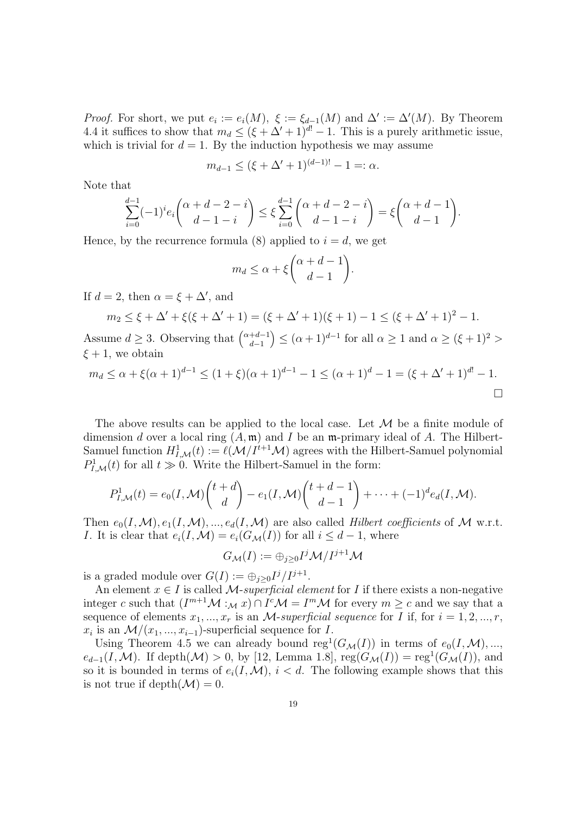*Proof.* For short, we put  $e_i := e_i(M)$ ,  $\xi := \xi_{d-1}(M)$  and  $\Delta' := \Delta'(M)$ . By Theorem 4.4 it suffices to show that  $m_d \leq (\xi + \Delta' + 1)^{d!} - 1$ . This is a purely arithmetic issue, which is trivial for  $d = 1$ . By the induction hypothesis we may assume

$$
m_{d-1} \leq (\xi + \Delta' + 1)^{(d-1)!} - 1 =: \alpha.
$$

Note that

$$
\sum_{i=0}^{d-1} (-1)^i e_i \binom{\alpha+d-2-i}{d-1-i} \le \xi \sum_{i=0}^{d-1} \binom{\alpha+d-2-i}{d-1-i} = \xi \binom{\alpha+d-1}{d-1}.
$$

Hence, by the recurrence formula (8) applied to  $i = d$ , we get

$$
m_d \le \alpha + \xi \binom{\alpha + d - 1}{d - 1}.
$$

If  $d = 2$ , then  $\alpha = \xi + \Delta'$ , and

$$
m_2 \le \xi + \Delta' + \xi(\xi + \Delta' + 1) = (\xi + \Delta' + 1)(\xi + 1) - 1 \le (\xi + \Delta' + 1)^2 - 1.
$$

Assume  $d \geq 3$ . Observing that  $\begin{pmatrix} \alpha+d-1 \\ d-1 \end{pmatrix}$  $d-1$  $\left(\alpha+1\right)^{d-1}$  for all  $\alpha\geq 1$  and  $\alpha\geq (\xi+1)^2$  $\xi + 1$ , we obtain

$$
m_d \le \alpha + \xi(\alpha + 1)^{d-1} \le (1 + \xi)(\alpha + 1)^{d-1} - 1 \le (\alpha + 1)^d - 1 = (\xi + \Delta' + 1)^{d!} - 1.
$$

The above results can be applied to the local case. Let  $\mathcal M$  be a finite module of dimension d over a local ring  $(A, \mathfrak{m})$  and I be an  $\mathfrak{m}$ -primary ideal of A. The Hilbert-Samuel function  $H^1_{I,\mathcal{M}}(t) := \ell(\mathcal{M}/I^{t+1}\mathcal{M})$  agrees with the Hilbert-Samuel polynomial  $P_{I,\mathcal{M}}^1(t)$  for all  $t \gg 0$ . Write the Hilbert-Samuel in the form:

$$
P_{I,\mathcal{M}}^1(t) = e_0(I,\mathcal{M})\binom{t+d}{d} - e_1(I,\mathcal{M})\binom{t+d-1}{d-1} + \cdots + (-1)^d e_d(I,\mathcal{M}).
$$

Then  $e_0(I, \mathcal{M}), e_1(I, \mathcal{M}), ..., e_d(I, \mathcal{M})$  are also called *Hilbert coefficients* of M w.r.t. I. It is clear that  $e_i(I, \mathcal{M}) = e_i(G_\mathcal{M}(I))$  for all  $i \leq d-1$ , where

$$
G_{\mathcal{M}}(I):=\oplus_{j\geq 0}I^j\mathcal{M}/I^{j+1}\mathcal{M}
$$

is a graded module over  $G(I) := \bigoplus_{j \geq 0} I^j / I^{j+1}$ .

An element  $x \in I$  is called M-superficial element for I if there exists a non-negative integer c such that  $(I^{m+1}M :_{\mathcal{M}} x) \cap I^c \mathcal{M} = I^m \mathcal{M}$  for every  $m \geq c$  and we say that a sequence of elements  $x_1, ..., x_r$  is an *M*-superficial sequence for *I* if, for  $i = 1, 2, ..., r$ ,  $x_i$  is an  $\mathcal{M}/(x_1, ..., x_{i-1})$ -superficial sequence for *I*.

Using Theorem 4.5 we can already bound  $reg<sup>1</sup>(G<sub>M</sub>(I))$  in terms of  $e<sub>0</sub>(I, M), ...,$  $e_{d-1}(I, M)$ . If depth $(M) > 0$ , by [12, Lemma 1.8],  $reg(G_{\mathcal{M}}(I)) = reg^{1}(G_{\mathcal{M}}(I))$ , and so it is bounded in terms of  $e_i(I, \mathcal{M})$ ,  $i < d$ . The following example shows that this is not true if depth $(\mathcal{M}) = 0$ .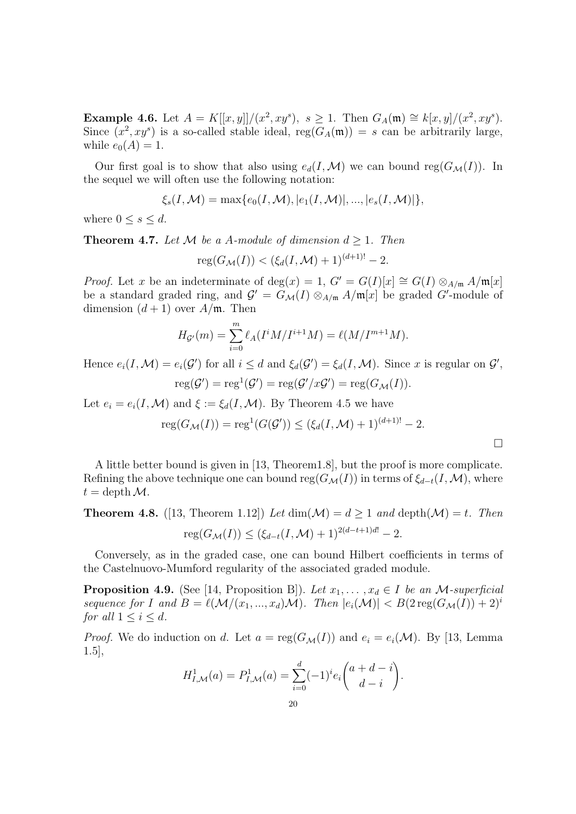**Example 4.6.** Let  $A = K[[x, y]]/(x^2, xy^s), s \ge 1$ . Then  $G_A(\mathfrak{m}) \cong k[x, y]/(x^2, xy^s)$ . Since  $(x^2, xy^s)$  is a so-called stable ideal,  $reg(G_A(\mathfrak{m})) = s$  can be arbitrarily large, while  $e_0(A) = 1$ .

Our first goal is to show that also using  $e_d(I, \mathcal{M})$  we can bound reg( $G_{\mathcal{M}}(I)$ ). In the sequel we will often use the following notation:

$$
\xi_s(I, \mathcal{M}) = \max\{e_0(I, \mathcal{M}), |e_1(I, \mathcal{M})|, ..., |e_s(I, \mathcal{M})|\},\
$$

where  $0 \leq s \leq d$ .

**Theorem 4.7.** Let M be a A-module of dimension  $d \geq 1$ . Then

$$
reg(G_{\mathcal{M}}(I)) < (\xi_d(I, \mathcal{M}) + 1)^{(d+1)!} - 2.
$$

*Proof.* Let x be an indeterminate of deg(x) = 1,  $G' = G(I)[x] \cong G(I) \otimes_{A/\mathfrak{m}} A/\mathfrak{m}[x]$ be a standard graded ring, and  $\mathcal{G}' = G_{\mathcal{M}}(I) \otimes_{A/\mathfrak{m}} A/\mathfrak{m}[x]$  be graded  $G'$ -module of dimension  $(d+1)$  over  $A/\mathfrak{m}$ . Then

$$
H_{\mathcal{G}'}(m) = \sum_{i=0}^{m} \ell_A(I^i M / I^{i+1} M) = \ell(M / I^{m+1} M).
$$

Hence  $e_i(I, \mathcal{M}) = e_i(\mathcal{G}')$  for all  $i \leq d$  and  $\xi_d(\mathcal{G}') = \xi_d(I, \mathcal{M})$ . Since x is regular on  $\mathcal{G}',$ 

$$
reg(\mathcal{G}') = reg^{1}(\mathcal{G}') = reg(\mathcal{G}'/x\mathcal{G}') = reg(G_{\mathcal{M}}(I)).
$$

Let  $e_i = e_i(I, \mathcal{M})$  and  $\xi := \xi_d(I, \mathcal{M})$ . By Theorem 4.5 we have

$$
reg(G_{\mathcal{M}}(I)) = reg^{1}(G(\mathcal{G}')) \leq (\xi_{d}(I, \mathcal{M}) + 1)^{(d+1)!} - 2.
$$

 $\Box$ 

A little better bound is given in [13, Theorem1.8], but the proof is more complicate. Refining the above technique one can bound reg( $G_{\mathcal{M}}(I)$ ) in terms of  $\xi_{d-t}(I,\mathcal{M})$ , where  $t = \operatorname{depth} \mathcal{M}.$ 

**Theorem 4.8.** ([13, Theorem 1.12]) Let 
$$
\dim(\mathcal{M}) = d \geq 1
$$
 and  $\text{depth}(\mathcal{M}) = t$ . Then  $\text{reg}(G_{\mathcal{M}}(I)) \leq (\xi_{d-t}(I, \mathcal{M}) + 1)^{2(d-t+1)d!} - 2$ .

Conversely, as in the graded case, one can bound Hilbert coefficients in terms of the Castelnuovo-Mumford regularity of the associated graded module.

**Proposition 4.9.** (See [14, Proposition B]). Let  $x_1, \ldots, x_d \in I$  be an M-superficial sequence for I and  $B = \ell(M/(x_1, ..., x_d)M)$ . Then  $|e_i(M)| < B(2 \text{reg}(G_M(I)) + 2)^i$ for all  $1 \leq i \leq d$ .

*Proof.* We do induction on d. Let  $a = \text{reg}(G_{\mathcal{M}}(I))$  and  $e_i = e_i(\mathcal{M})$ . By [13, Lemma 1.5],

$$
H_{I,\mathcal{M}}^{1}(a) = P_{I,\mathcal{M}}^{1}(a) = \sum_{i=0}^{d} (-1)^{i} e_{i} \binom{a+d-i}{d-i}.
$$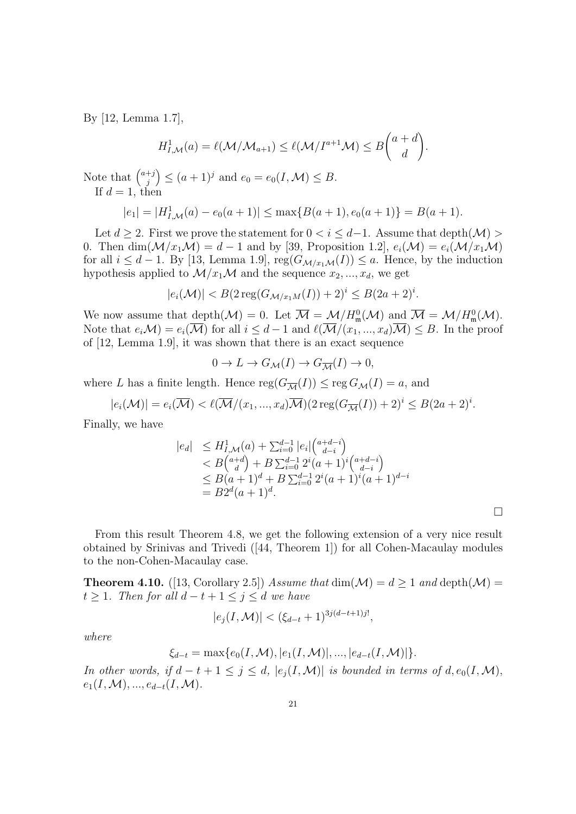By [12, Lemma 1.7],

$$
H^1_{I,\mathcal{M}}(a) = \ell(\mathcal{M}/\mathcal{M}_{a+1}) \leq \ell(\mathcal{M}/I^{a+1}\mathcal{M}) \leq B\binom{a+d}{d}.
$$

Note that  $\binom{a+j}{i}$ j  $\Big) \leq (a+1)^j$  and  $e_0 = e_0(I, \mathcal{M}) \leq B$ . If  $d=1$ , then

$$
|e_1| = |H_{I,\mathcal{M}}^1(a) - e_0(a+1)| \le \max\{B(a+1), e_0(a+1)\} = B(a+1).
$$

Let  $d \geq 2$ . First we prove the statement for  $0 < i \leq d-1$ . Assume that depth $(\mathcal{M}) >$ 0. Then  $\dim(M/x_1\mathcal{M})=d-1$  and by [39, Proposition 1.2],  $e_i(\mathcal{M})=e_i(\mathcal{M}/x_1\mathcal{M})$ for all  $i \leq d-1$ . By [13, Lemma 1.9],  $reg(G_{\mathcal{M}/x_1\mathcal{M}}(I)) \leq a$ . Hence, by the induction hypothesis applied to  $\mathcal{M}/x_1\mathcal{M}$  and the sequence  $x_2, ..., x_d$ , we get

$$
|e_i(\mathcal{M})| < B(2\operatorname{reg}(G_{\mathcal{M}/x_1M}(I)) + 2)^i \le B(2a+2)^i.
$$

We now assume that depth $(M) = 0$ . Let  $\overline{M} = M/H_{\mathfrak{m}}^{0}(\mathcal{M})$  and  $\overline{M} = M/H_{\mathfrak{m}}^{0}(\mathcal{M})$ . Note that  $e_i\mathcal{M} = e_i(\overline{\mathcal{M}})$  for all  $i \leq d-1$  and  $\ell(\overline{\mathcal{M}}/(x_1, ..., x_d)\overline{\mathcal{M}}) \leq B$ . In the proof of [12, Lemma 1.9], it was shown that there is an exact sequence

$$
0 \to L \to G_{\mathcal{M}}(I) \to G_{\overline{\mathcal{M}}}(I) \to 0,
$$

where L has a finite length. Hence  $reg(G_{\overline{\mathcal{M}}}(I)) \leq reg(G_{\mathcal{M}}(I)) = a$ , and

$$
|e_i(\mathcal{M})| = e_i(\overline{\mathcal{M}}) < \ell(\overline{\mathcal{M}}/(x_1, \dots, x_d)\overline{\mathcal{M}})(2\operatorname{reg}(G_{\overline{\mathcal{M}}}(I)) + 2)^i \leq B(2a+2)^i.
$$

Finally, we have

$$
|e_d| \leq H_{I,\mathcal{M}}^1(a) + \sum_{i=0}^{d-1} |e_i| \binom{a+d-i}{d-i}
$$
  

$$
< B \binom{a+d}{d} + B \sum_{i=0}^{d-1} 2^i (a+1)^i \binom{a+d-i}{d-i}
$$
  

$$
\leq B(a+1)^d + B \sum_{i=0}^{d-1} 2^i (a+1)^i (a+1)^{d-i}
$$
  

$$
= B2^d (a+1)^d.
$$

 $\Box$ 

From this result Theorem 4.8, we get the following extension of a very nice result obtained by Srinivas and Trivedi ([44, Theorem 1]) for all Cohen-Macaulay modules to the non-Cohen-Macaulay case.

**Theorem 4.10.** ([13, Corollary 2.5]) Assume that  $\dim(\mathcal{M}) = d \geq 1$  and  $\text{depth}(\mathcal{M}) =$  $t \geq 1$ . Then for all  $d - t + 1 \leq j \leq d$  we have

$$
|e_j(I, \mathcal{M})| < (\xi_{d-t} + 1)^{3j(d-t+1)j!},
$$

where

$$
\xi_{d-t} = \max\{e_0(I, \mathcal{M}), |e_1(I, \mathcal{M})|, ..., |e_{d-t}(I, \mathcal{M})|\}.
$$

In other words, if  $d-t+1 \leq j \leq d$ ,  $|e_i(I, \mathcal{M})|$  is bounded in terms of  $d, e_0(I, \mathcal{M})$ ,  $e_1(I, \mathcal{M}), ..., e_{d-t}(I, \mathcal{M}).$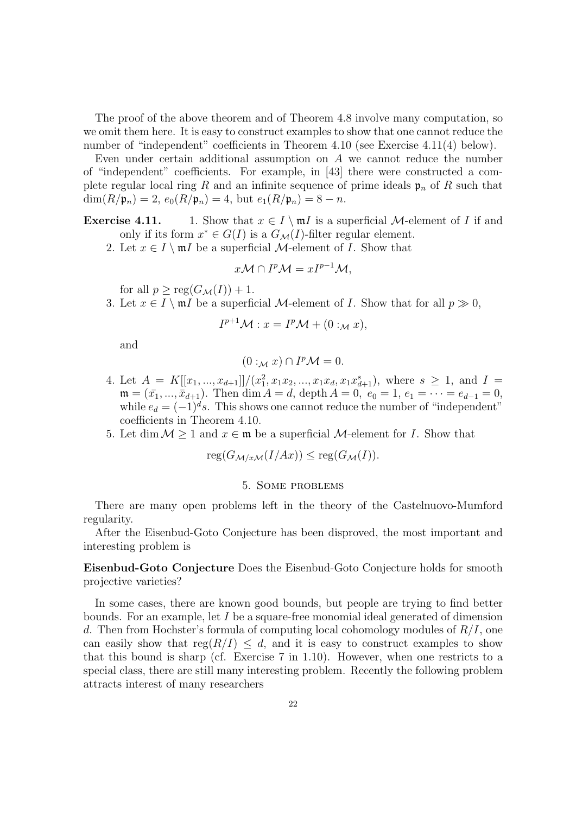The proof of the above theorem and of Theorem 4.8 involve many computation, so we omit them here. It is easy to construct examples to show that one cannot reduce the number of "independent" coefficients in Theorem 4.10 (see Exercise 4.11(4) below).

Even under certain additional assumption on  $A$  we cannot reduce the number of "independent" coefficients. For example, in [43] there were constructed a complete regular local ring R and an infinite sequence of prime ideals  $\mathfrak{p}_n$  of R such that  $\dim(R/\mathfrak{p}_n) = 2, e_0(R/\mathfrak{p}_n) = 4$ , but  $e_1(R/\mathfrak{p}_n) = 8 - n$ .

**Exercise 4.11.** 1. Show that  $x \in I \setminus mI$  is a superficial *M*-element of *I* if and only if its form  $x^* \in G(I)$  is a  $G_{\mathcal{M}}(I)$ -filter regular element.

2. Let  $x \in I \setminus mI$  be a superficial M-element of I. Show that

$$
x\mathcal{M} \cap I^p \mathcal{M} = xI^{p-1} \mathcal{M},
$$

for all  $p \geq \text{reg}(G_{\mathcal{M}}(I)) + 1$ .

3. Let  $x \in I \setminus \mathfrak{m}I$  be a superficial M-element of I. Show that for all  $p \gg 0$ ,

$$
I^{p+1}\mathcal{M}: x = I^p \mathcal{M} + (0:_{\mathcal{M}} x),
$$

and

$$
(0:_{\mathcal{M}} x) \cap I^p \mathcal{M} = 0.
$$

- 4. Let  $A = K[[x_1, ..., x_{d+1}]]/(x_1^2, x_1x_2, ..., x_1x_d, x_1x_{d+1}^s)$ , where  $s \geq 1$ , and  $I =$  $\mathfrak{m} = (\bar{x}_1, ..., \bar{x}_{d+1})$ . Then dim  $A = d$ , depth  $A = 0$ ,  $e_0 = 1$ ,  $e_1 = \cdots = e_{d-1} = 0$ , while  $e_d = (-1)^d s$ . This shows one cannot reduce the number of "independent" coefficients in Theorem 4.10.
- 5. Let dim  $M \geq 1$  and  $x \in \mathfrak{m}$  be a superficial M-element for I. Show that

$$
reg(G_{\mathcal{M}/x\mathcal{M}}(I/Ax)) \leq reg(G_{\mathcal{M}}(I)).
$$

### 5. Some problems

There are many open problems left in the theory of the Castelnuovo-Mumford regularity.

After the Eisenbud-Goto Conjecture has been disproved, the most important and interesting problem is

Eisenbud-Goto Conjecture Does the Eisenbud-Goto Conjecture holds for smooth projective varieties?

In some cases, there are known good bounds, but people are trying to find better bounds. For an example, let  $I$  be a square-free monomial ideal generated of dimension d. Then from Hochster's formula of computing local cohomology modules of  $R/I$ , one can easily show that  $reg(R/I) \leq d$ , and it is easy to construct examples to show that this bound is sharp (cf. Exercise 7 in 1.10). However, when one restricts to a special class, there are still many interesting problem. Recently the following problem attracts interest of many researchers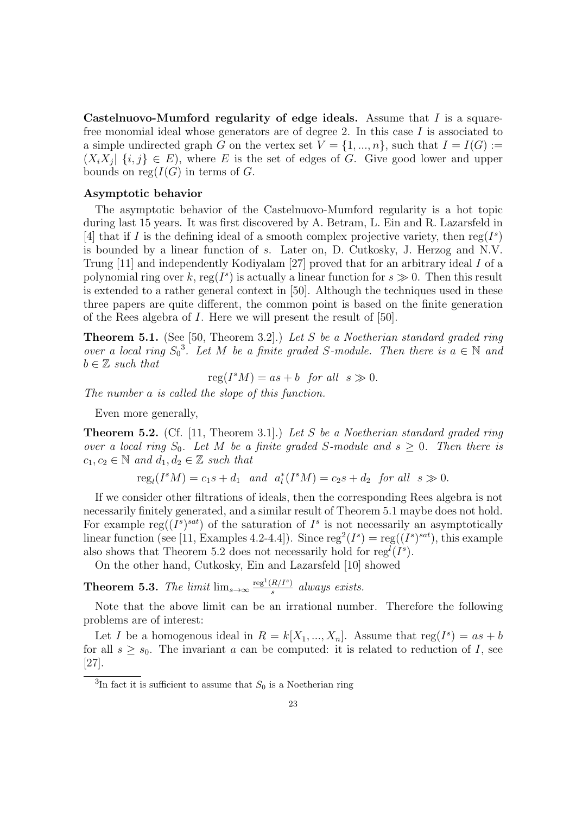Castelnuovo-Mumford regularity of edge ideals. Assume that  $I$  is a squarefree monomial ideal whose generators are of degree 2. In this case I is associated to a simple undirected graph G on the vertex set  $V = \{1, ..., n\}$ , such that  $I = I(G) :=$  $(X_i X_j | \{i, j\} \in E)$ , where E is the set of edges of G. Give good lower and upper bounds on reg $(I(G))$  in terms of G.

## Asymptotic behavior

The asymptotic behavior of the Castelnuovo-Mumford regularity is a hot topic during last 15 years. It was first discovered by A. Betram, L. Ein and R. Lazarsfeld in [4] that if I is the defining ideal of a smooth complex projective variety, then  $reg(I^s)$ is bounded by a linear function of s. Later on, D. Cutkosky, J. Herzog and N.V. Trung [11] and independently Kodiyalam [27] proved that for an arbitrary ideal I of a polynomial ring over k, reg( $I^s$ ) is actually a linear function for  $s \gg 0$ . Then this result is extended to a rather general context in [50]. Although the techniques used in these three papers are quite different, the common point is based on the finite generation of the Rees algebra of I. Here we will present the result of [50].

**Theorem 5.1.** (See [50, Theorem 3.2].) Let S be a Noetherian standard graded ring over a local ring  $S_0^3$ . Let M be a finite graded S-module. Then there is  $a \in \mathbb{N}$  and  $b \in \mathbb{Z}$  such that

$$
reg(I^sM) = as + b \text{ for all } s \gg 0.
$$

The number a is called the slope of this function.

Even more generally,

**Theorem 5.2.** (Cf. [11, Theorem 3.1].) Let S be a Noetherian standard graded ring over a local ring  $S_0$ . Let M be a finite graded S-module and  $s \geq 0$ . Then there is  $c_1, c_2 \in \mathbb{N}$  and  $d_1, d_2 \in \mathbb{Z}$  such that

 $reg_l(I^sM) = c_1s + d_1$  and  $a_l^*(I^sM) = c_2s + d_2$  for all  $s \gg 0$ .

If we consider other filtrations of ideals, then the corresponding Rees algebra is not necessarily finitely generated, and a similar result of Theorem 5.1 maybe does not hold. For example reg( $(I<sup>s</sup>)<sup>sat</sup>$ ) of the saturation of  $I<sup>s</sup>$  is not necessarily an asymptotically linear function (see [11, Examples 4.2-4.4]). Since  $reg^2(I^s) = reg((I^s)^{sat})$ , this example also shows that Theorem 5.2 does not necessarily hold for  $reg<sup>l</sup>(I<sup>s</sup>)$ .

On the other hand, Cutkosky, Ein and Lazarsfeld [10] showed

**Theorem 5.3.** The limit  $\lim_{s\to\infty} \frac{\text{reg}^1(R/I^s)}{s}$  $\frac{R/I^{c}}{s}$  always exists.

Note that the above limit can be an irrational number. Therefore the following problems are of interest:

Let I be a homogenous ideal in  $R = k[X_1, ..., X_n]$ . Assume that  $reg(I^s) = as + b$ for all  $s \geq s_0$ . The invariant a can be computed: it is related to reduction of I, see [27].

<sup>&</sup>lt;sup>3</sup>In fact it is sufficient to assume that  $S_0$  is a Noetherian ring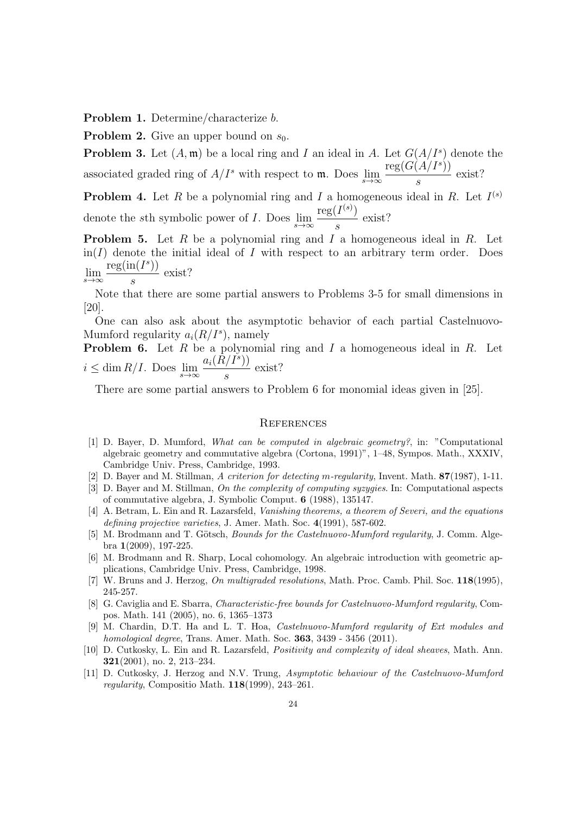Problem 1. Determine/characterize b.

**Problem 2.** Give an upper bound on  $s_0$ .

**Problem 3.** Let  $(A, \mathfrak{m})$  be a local ring and I an ideal in A. Let  $G(A/I^s)$  denote the associated graded ring of  $A/I^s$  with respect to m. Does  $\lim_{s\to\infty}$  ${\rm reg}(G(A/I^s))$ s exist?

**Problem 4.** Let R be a polynomial ring and I a homogeneous ideal in R. Let  $I^{(s)}$ denote the sth symbolic power of I. Does  $\lim_{s\to\infty}$  $\mathrm{reg}(I^{(s)})$ s exist?

**Problem 5.** Let  $R$  be a polynomial ring and  $I$  a homogeneous ideal in  $R$ . Let  $\text{in}(I)$  denote the initial ideal of I with respect to an arbitrary term order. Does  $reg(in(I<sup>s</sup>))$ exist?

 $\lim_{s\to\infty}$ s

Note that there are some partial answers to Problems 3-5 for small dimensions in [20].

One can also ask about the asymptotic behavior of each partial Castelnuovo-Mumford regularity  $a_i(R/I<sup>s</sup>)$ , namely

**Problem 6.** Let  $R$  be a polynomial ring and  $I$  a homogeneous ideal in  $R$ . Let  $i \leq \dim R/I$ . Does  $\lim_{s \to \infty}$  $a_i (\tilde{R}/I^s))$ s exist?

There are some partial answers to Problem 6 for monomial ideas given in [25].

### **REFERENCES**

- [1] D. Bayer, D. Mumford, What can be computed in algebraic geometry?, in: "Computational algebraic geometry and commutative algebra (Cortona, 1991)", 1–48, Sympos. Math., XXXIV, Cambridge Univ. Press, Cambridge, 1993.
- [2] D. Bayer and M. Stillman, A criterion for detecting m-regularity, Invent. Math. 87(1987), 1-11.
- [3] D. Bayer and M. Stillman, On the complexity of computing syzygies. In: Computational aspects of commutative algebra, J. Symbolic Comput. 6 (1988), 135147.
- [4] A. Betram, L. Ein and R. Lazarsfeld, Vanishing theorems, a theorem of Severi, and the equations defining projective varieties, J. Amer. Math. Soc. 4(1991), 587-602.
- [5] M. Brodmann and T. Götsch, *Bounds for the Castelnuovo-Mumford regularity*, J. Comm. Algebra 1(2009), 197-225.
- [6] M. Brodmann and R. Sharp, Local cohomology. An algebraic introduction with geometric applications, Cambridge Univ. Press, Cambridge, 1998.
- [7] W. Bruns and J. Herzog, On multigraded resolutions, Math. Proc. Camb. Phil. Soc. 118(1995), 245-257.
- [8] G. Caviglia and E. Sbarra, Characteristic-free bounds for Castelnuovo-Mumford regularity, Compos. Math. 141 (2005), no. 6, 1365–1373
- [9] M. Chardin, D.T. Ha and L. T. Hoa, Castelnuovo-Mumford regularity of Ext modules and homological degree, Trans. Amer. Math. Soc. 363, 3439 - 3456 (2011).
- [10] D. Cutkosky, L. Ein and R. Lazarsfeld, Positivity and complexity of ideal sheaves, Math. Ann. 321(2001), no. 2, 213–234.
- [11] D. Cutkosky, J. Herzog and N.V. Trung, Asymptotic behaviour of the Castelnuovo-Mumford regularity, Compositio Math. 118(1999), 243–261.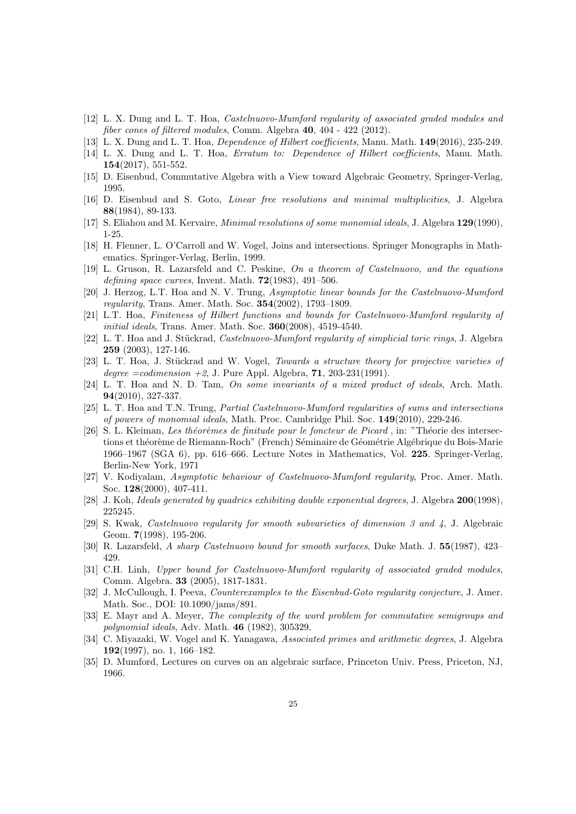- [12] L. X. Dung and L. T. Hoa, Castelnuovo-Mumford regularity of associated graded modules and fiber cones of filtered modules, Comm. Algebra 40, 404 - 422 (2012).
- [13] L. X. Dung and L. T. Hoa, *Dependence of Hilbert coefficients*, Manu. Math.  $149(2016)$ , 235-249.
- [14] L. X. Dung and L. T. Hoa, Erratum to: Dependence of Hilbert coefficients, Manu. Math. 154(2017), 551-552.
- [15] D. Eisenbud, Commutative Algebra with a View toward Algebraic Geometry, Springer-Verlag, 1995.
- [16] D. Eisenbud and S. Goto, Linear free resolutions and minimal multiplicities, J. Algebra 88(1984), 89-133.
- [17] S. Eliahou and M. Kervaire, Minimal resolutions of some monomial ideals, J. Algebra 129(1990), 1-25.
- [18] H. Flenner, L. O'Carroll and W. Vogel, Joins and intersections. Springer Monographs in Mathematics. Springer-Verlag, Berlin, 1999.
- [19] L. Gruson, R. Lazarsfeld and C. Peskine, On a theorem of Castelnuovo, and the equations defining space curves, Invent. Math.  $72(1983)$ , 491–506.
- [20] J. Herzog, L.T. Hoa and N. V. Trung, Asymptotic linear bounds for the Castelnuovo-Mumford regularity, Trans. Amer. Math. Soc. 354(2002), 1793–1809.
- [21] L.T. Hoa, Finiteness of Hilbert functions and bounds for Castelnuovo-Mumford regularity of initial ideals, Trans. Amer. Math. Soc. **360**(2008), 4519-4540.
- [22] L. T. Hoa and J. Stückrad, *Castelnuovo-Mumford regularity of simplicial toric rings*, J. Algebra 259 (2003), 127-146.
- [23] L. T. Hoa, J. Stückrad and W. Vogel, Towards a structure theory for projective varieties of degree  $=codimension +2$ , J. Pure Appl. Algebra, 71, 203-231(1991).
- [24] L. T. Hoa and N. D. Tam, On some invariants of a mixed product of ideals, Arch. Math. 94(2010), 327-337.
- [25] L. T. Hoa and T.N. Trung, Partial Castelnuovo-Mumford regularities of sums and intersections of powers of monomial ideals, Math. Proc. Cambridge Phil. Soc. 149(2010), 229-246.
- [26] S. L. Kleiman, Les théorèmes de finitude pour le foncteur de Picard, in: "Théorie des intersections et théorème de Riemann-Roch" (French) Séminaire de Géométrie Algébrique du Bois-Marie 1966–1967 (SGA 6), pp. 616–666. Lecture Notes in Mathematics, Vol. 225. Springer-Verlag, Berlin-New York, 1971
- [27] V. Kodiyalam, Asymptotic behaviour of Castelnuovo-Mumford regularity, Proc. Amer. Math. Soc. 128(2000), 407-411.
- [28] J. Koh, Ideals generated by quadrics exhibiting double exponential degrees, J. Algebra 200(1998), 225245.
- [29] S. Kwak, Castelnuovo regularity for smooth subvarieties of dimension 3 and 4, J. Algebraic Geom. 7(1998), 195-206.
- [30] R. Lazarsfeld, A sharp Castelnuovo bound for smooth surfaces, Duke Math. J. 55(1987), 423– 429.
- [31] C.H. Linh, Upper bound for Castelnuovo-Mumford regularity of associated graded modules, Comm. Algebra. 33 (2005), 1817-1831.
- [32] J. McCullough, I. Peeva, *Counterexamples to the Eisenbud-Goto regularity conjecture*, J. Amer. Math. Soc., DOI: 10.1090/jams/891.
- [33] E. Mayr and A. Meyer, The complexity of the word problem for commutative semigroups and polynomial ideals, Adv. Math. 46 (1982), 305329.
- [34] C. Miyazaki, W. Vogel and K. Yanagawa, Associated primes and arithmetic degrees, J. Algebra 192(1997), no. 1, 166–182.
- [35] D. Mumford, Lectures on curves on an algebraic surface, Princeton Univ. Press, Priceton, NJ, 1966.